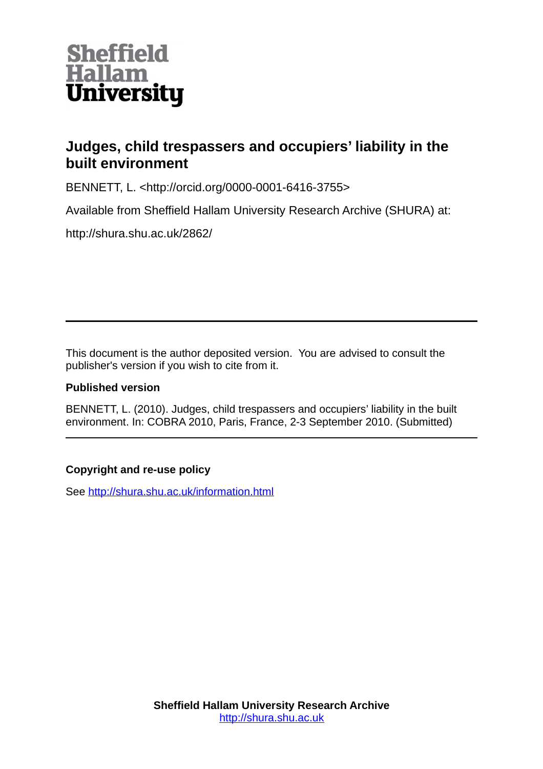

# **Judges, child trespassers and occupiers' liability in the built environment**

BENNETT, L. <http://orcid.org/0000-0001-6416-3755>

Available from Sheffield Hallam University Research Archive (SHURA) at:

http://shura.shu.ac.uk/2862/

This document is the author deposited version. You are advised to consult the publisher's version if you wish to cite from it.

### **Published version**

BENNETT, L. (2010). Judges, child trespassers and occupiers' liability in the built environment. In: COBRA 2010, Paris, France, 2-3 September 2010. (Submitted)

## **Copyright and re-use policy**

See<http://shura.shu.ac.uk/information.html>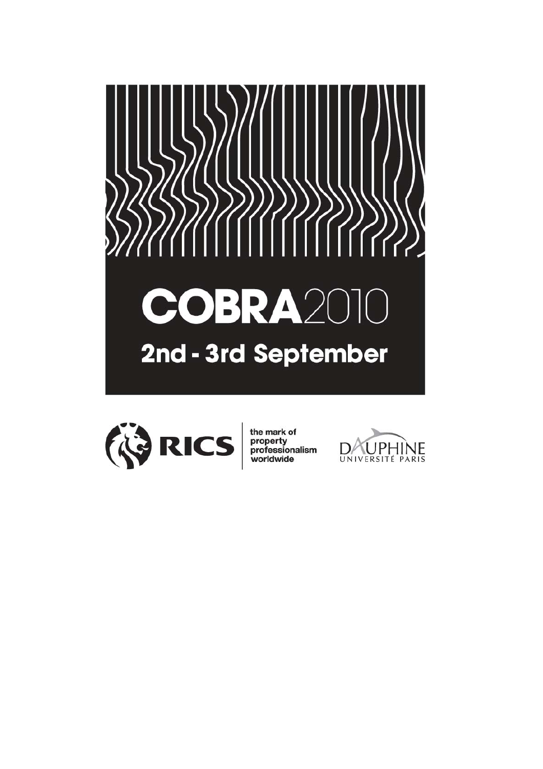



the mark of<br>property<br>professionalism<br>worldwide

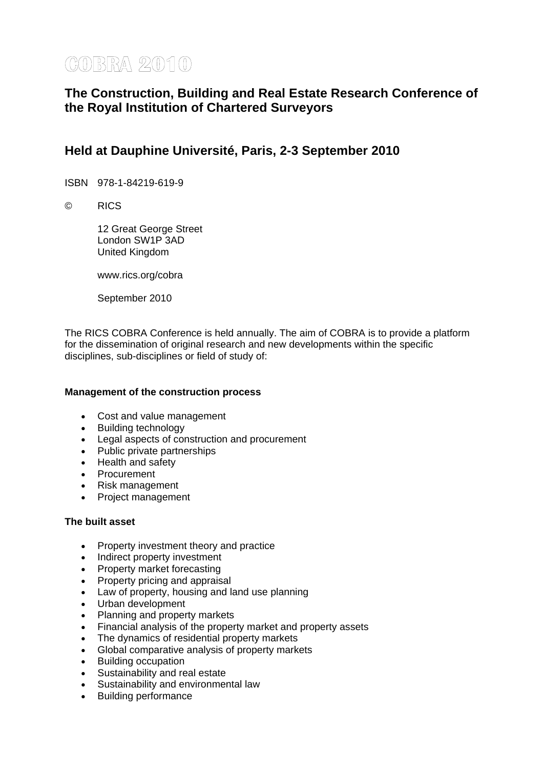# **COBRA 2010**

# **The Construction, Building and Real Estate Research Conference of the Royal Institution of Chartered Surveyors**

# **Held at Dauphine Université, Paris, 2-3 September 2010**

ISBN 978-1-84219-619-9

© RICS

 12 Great George Street London SW1P 3AD United Kingdom

www.rics.org/cobra

September 2010

The RICS COBRA Conference is held annually. The aim of COBRA is to provide a platform for the dissemination of original research and new developments within the specific disciplines, sub-disciplines or field of study of:

#### **Management of the construction process**

- Cost and value management
- Building technology
- Legal aspects of construction and procurement
- Public private partnerships
- Health and safety
- Procurement
- Risk management
- Project management

#### **The built asset**

- Property investment theory and practice
- Indirect property investment
- Property market forecasting
- Property pricing and appraisal
- Law of property, housing and land use planning
- Urban development
- Planning and property markets
- Financial analysis of the property market and property assets
- The dynamics of residential property markets
- Global comparative analysis of property markets
- Building occupation
- Sustainability and real estate
- Sustainability and environmental law
- Building performance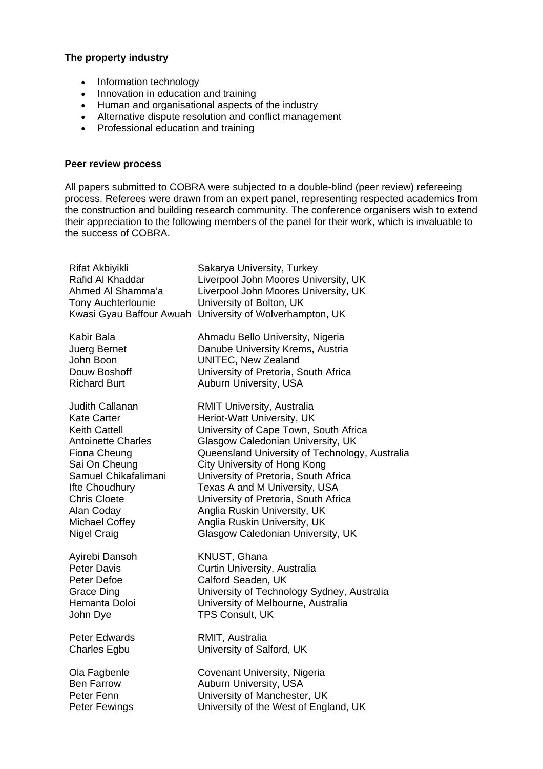#### **The property industry**

- Information technology
- Innovation in education and training
- Human and organisational aspects of the industry
- Alternative dispute resolution and conflict management
- Professional education and training

#### **Peer review process**

All papers submitted to COBRA were subjected to a double-blind (peer review) refereeing process. Referees were drawn from an expert panel, representing respected academics from the construction and building research community. The conference organisers wish to extend their appreciation to the following members of the panel for their work, which is invaluable to the success of COBRA.

| Rifat Akbiyikli<br>Rafid Al Khaddar<br>Ahmed AI Shamma'a<br><b>Tony Auchterlounie</b> | Sakarya University, Turkey<br>Liverpool John Moores University, UK<br>Liverpool John Moores University, UK<br>University of Bolton, UK<br>Kwasi Gyau Baffour Awuah University of Wolverhampton, UK |
|---------------------------------------------------------------------------------------|----------------------------------------------------------------------------------------------------------------------------------------------------------------------------------------------------|
| Kabir Bala                                                                            | Ahmadu Bello University, Nigeria                                                                                                                                                                   |
| Juerg Bernet                                                                          | Danube University Krems, Austria                                                                                                                                                                   |
| John Boon                                                                             | <b>UNITEC, New Zealand</b>                                                                                                                                                                         |
| Douw Boshoff                                                                          | University of Pretoria, South Africa                                                                                                                                                               |
| <b>Richard Burt</b>                                                                   | Auburn University, USA                                                                                                                                                                             |
| Judith Callanan                                                                       | RMIT University, Australia                                                                                                                                                                         |
| <b>Kate Carter</b>                                                                    | Heriot-Watt University, UK                                                                                                                                                                         |
| <b>Keith Cattell</b>                                                                  | University of Cape Town, South Africa                                                                                                                                                              |
| <b>Antoinette Charles</b>                                                             | Glasgow Caledonian University, UK                                                                                                                                                                  |
| Fiona Cheung                                                                          | Queensland University of Technology, Australia                                                                                                                                                     |
| Sai On Cheung                                                                         | City University of Hong Kong                                                                                                                                                                       |
| Samuel Chikafalimani                                                                  | University of Pretoria, South Africa                                                                                                                                                               |
| Ifte Choudhury                                                                        | Texas A and M University, USA                                                                                                                                                                      |
| <b>Chris Cloete</b>                                                                   | University of Pretoria, South Africa                                                                                                                                                               |
| Alan Coday                                                                            | Anglia Ruskin University, UK                                                                                                                                                                       |
| <b>Michael Coffey</b>                                                                 | Anglia Ruskin University, UK                                                                                                                                                                       |
| Nigel Craig                                                                           | Glasgow Caledonian University, UK                                                                                                                                                                  |
| Ayirebi Dansoh                                                                        | KNUST, Ghana                                                                                                                                                                                       |
| <b>Peter Davis</b>                                                                    | Curtin University, Australia                                                                                                                                                                       |
| Peter Defoe                                                                           | Calford Seaden, UK                                                                                                                                                                                 |
| <b>Grace Ding</b>                                                                     | University of Technology Sydney, Australia                                                                                                                                                         |
| Hemanta Doloi                                                                         | University of Melbourne, Australia                                                                                                                                                                 |
| John Dye                                                                              | <b>TPS Consult, UK</b>                                                                                                                                                                             |
| <b>Peter Edwards</b>                                                                  | RMIT, Australia                                                                                                                                                                                    |
| <b>Charles Egbu</b>                                                                   | University of Salford, UK                                                                                                                                                                          |
| Ola Fagbenle                                                                          | Covenant University, Nigeria                                                                                                                                                                       |
| <b>Ben Farrow</b>                                                                     | Auburn University, USA                                                                                                                                                                             |
| Peter Fenn                                                                            | University of Manchester, UK                                                                                                                                                                       |
| <b>Peter Fewings</b>                                                                  | University of the West of England, UK                                                                                                                                                              |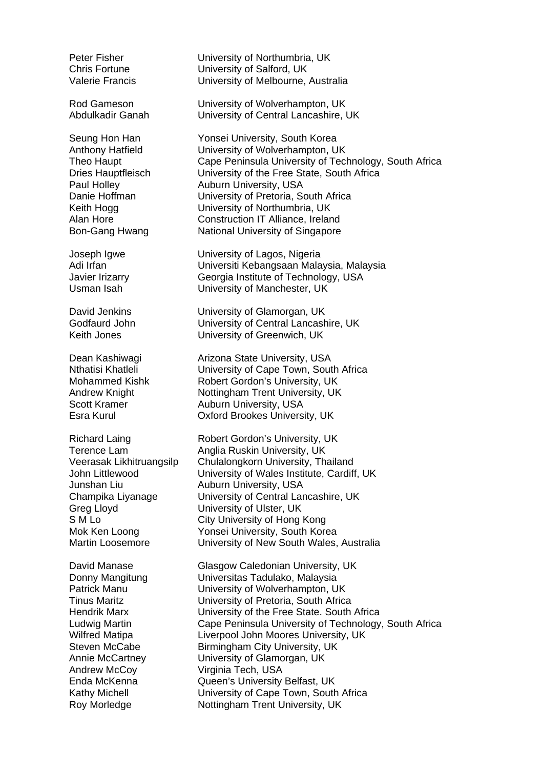Junshan Liu Auburn University, USA Greg Lloyd **University of Ulster, UK** 

Peter Fisher **University of Northumbria, UK** Chris Fortune University of Salford, UK Valerie Francis University of Melbourne, Australia

Rod Gameson University of Wolverhampton, UK Abdulkadir Ganah University of Central Lancashire, UK

Seung Hon Han Yonsei University, South Korea Anthony Hatfield University of Wolverhampton, UK Theo Haupt Cape Peninsula University of Technology, South Africa Dries Hauptfleisch University of the Free State, South Africa Paul Holley **Auburn University, USA** Danie Hoffman University of Pretoria, South Africa Keith Hogg **University of Northumbria, UK** Alan Hore Construction IT Alliance, Ireland Bon-Gang Hwang National University of Singapore

Joseph Igwe University of Lagos, Nigeria Adi Irfan Universiti Kebangsaan Malaysia, Malaysia Javier Irizarry Georgia Institute of Technology, USA Usman Isah University of Manchester, UK

David Jenkins **University of Glamorgan, UK** Godfaurd John University of Central Lancashire, UK Keith Jones University of Greenwich, UK

Dean Kashiwagi **Arizona State University, USA** Nthatisi Khatleli University of Cape Town, South Africa Mohammed Kishk Robert Gordon's University, UK Andrew Knight Nottingham Trent University, UK Scott Kramer Auburn University, USA Esra Kurul Oxford Brookes University, UK

Richard Laing Robert Gordon's University, UK Terence Lam **Anglia Ruskin University, UK** Veerasak Likhitruangsilp Chulalongkorn University, Thailand John Littlewood University of Wales Institute, Cardiff, UK Champika Liyanage University of Central Lancashire, UK S M Lo **City University of Hong Kong** Mok Ken Loong Yonsei University, South Korea Martin Loosemore University of New South Wales, Australia

David Manase Glasgow Caledonian University, UK Donny Mangitung Universitas Tadulako, Malaysia Patrick Manu **University of Wolverhampton, UK** Tinus Maritz University of Pretoria, South Africa Hendrik Marx University of the Free State. South Africa Ludwig Martin Cape Peninsula University of Technology, South Africa Wilfred Matipa **Liverpool John Moores University, UK** Steven McCabe Birmingham City University, UK Annie McCartney University of Glamorgan, UK Andrew McCoy Virginia Tech, USA Enda McKenna Queen's University Belfast, UK Kathy Michell **Example 20 University of Cape Town, South Africa** Roy Morledge Nottingham Trent University, UK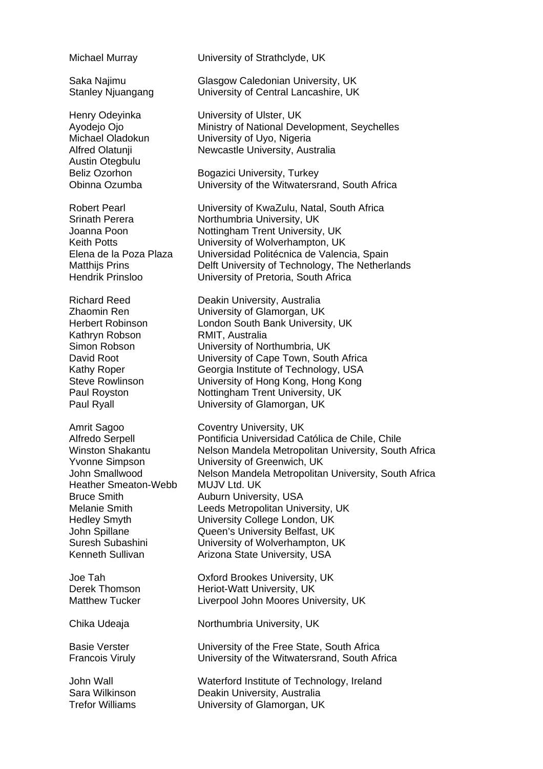Austin Otegbulu

Kathryn Robson RMIT, Australia

Heather Smeaton-Webb MUJV Ltd. UK Bruce Smith **Auburn University, USA** 

Michael Murray University of Strathclyde, UK

Saka Najimu Glasgow Caledonian University, UK Stanley Njuangang University of Central Lancashire, UK

Henry Odeyinka **University of Ulster, UK** Avodeio Ojo **Ministry of National Development, Seychelles** Michael Oladokun University of Uyo, Nigeria Alfred Olatunji Newcastle University, Australia

Beliz Ozorhon Bogazici University, Turkey Obinna Ozumba University of the Witwatersrand, South Africa

Robert Pearl University of KwaZulu, Natal, South Africa Srinath Perera **Northumbria University, UK** Joanna Poon Nottingham Trent University, UK Keith Potts **Example 3** University of Wolverhampton, UK Elena de la Poza Plaza Universidad Politécnica de Valencia, Spain Matthijs Prins **Delft University of Technology**, The Netherlands Hendrik Prinsloo University of Pretoria, South Africa

Richard Reed **Deakin University, Australia**<br> **Prime Contain Prime Contains Contain Contains Contain Contain Contain Contain Contain Contain Contain Contain** University of Glamorgan, UK Herbert Robinson London South Bank University, UK Simon Robson University of Northumbria, UK David Root **University of Cape Town, South Africa** Kathy Roper Georgia Institute of Technology, USA Steve Rowlinson University of Hong Kong, Hong Kong Paul Royston Nottingham Trent University, UK Paul Ryall **Paul Ryall Communisty of Glamorgan, UK** 

Amrit Sagoo Coventry University, UK Alfredo Serpell Pontificia Universidad Católica de Chile, Chile Winston Shakantu **Nelson Mandela Metropolitan University, South Africa** Yvonne Simpson University of Greenwich, UK John Smallwood Nelson Mandela Metropolitan University, South Africa Melanie Smith Leeds Metropolitan University, UK Hedley Smyth University College London, UK John Spillane Queen's University Belfast, UK Suresh Subashini University of Wolverhampton, UK Kenneth Sullivan **Arizona State University, USA** 

Joe Tah Oxford Brookes University, UK Derek Thomson **Heriot-Watt University, UK** Matthew Tucker Liverpool John Moores University, UK

Chika Udeaja Northumbria University, UK

Basie Verster **University of the Free State, South Africa** Francois Viruly University of the Witwatersrand, South Africa

John Wall Waterford Institute of Technology, Ireland Sara Wilkinson Deakin University, Australia Trefor Williams University of Glamorgan, UK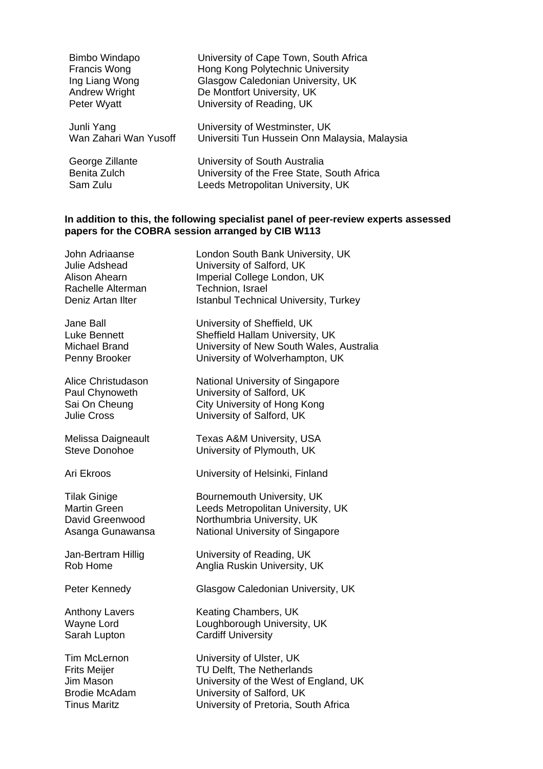| Bimbo Windapo         | University of Cape Town, South Africa         |
|-----------------------|-----------------------------------------------|
| Francis Wong          | Hong Kong Polytechnic University              |
| Ing Liang Wong        | Glasgow Caledonian University, UK             |
| <b>Andrew Wright</b>  | De Montfort University, UK                    |
| Peter Wyatt           | University of Reading, UK                     |
| Junli Yang            | University of Westminster, UK                 |
| Wan Zahari Wan Yusoff | Universiti Tun Hussein Onn Malaysia, Malaysia |
| George Zillante       | University of South Australia                 |
| Benita Zulch          | University of the Free State, South Africa    |
| Sam Zulu              | Leeds Metropolitan University, UK             |

#### **In addition to this, the following specialist panel of peer-review experts assessed papers for the COBRA session arranged by CIB W113**

| London South Bank University, UK<br>University of Salford, UK<br>Imperial College London, UK<br>Technion, Israel<br><b>Istanbul Technical University, Turkey</b>    |
|---------------------------------------------------------------------------------------------------------------------------------------------------------------------|
| University of Sheffield, UK<br>Sheffield Hallam University, UK<br>University of New South Wales, Australia<br>University of Wolverhampton, UK                       |
| National University of Singapore<br>University of Salford, UK<br><b>City University of Hong Kong</b><br>University of Salford, UK                                   |
| Texas A&M University, USA<br>University of Plymouth, UK                                                                                                             |
| University of Helsinki, Finland                                                                                                                                     |
| Bournemouth University, UK<br>Leeds Metropolitan University, UK<br>Northumbria University, UK<br>National University of Singapore                                   |
| University of Reading, UK<br>Anglia Ruskin University, UK                                                                                                           |
| Glasgow Caledonian University, UK                                                                                                                                   |
| Keating Chambers, UK<br>Loughborough University, UK<br><b>Cardiff University</b>                                                                                    |
| University of Ulster, UK<br>TU Delft, The Netherlands<br>University of the West of England, UK<br>University of Salford, UK<br>University of Pretoria, South Africa |
|                                                                                                                                                                     |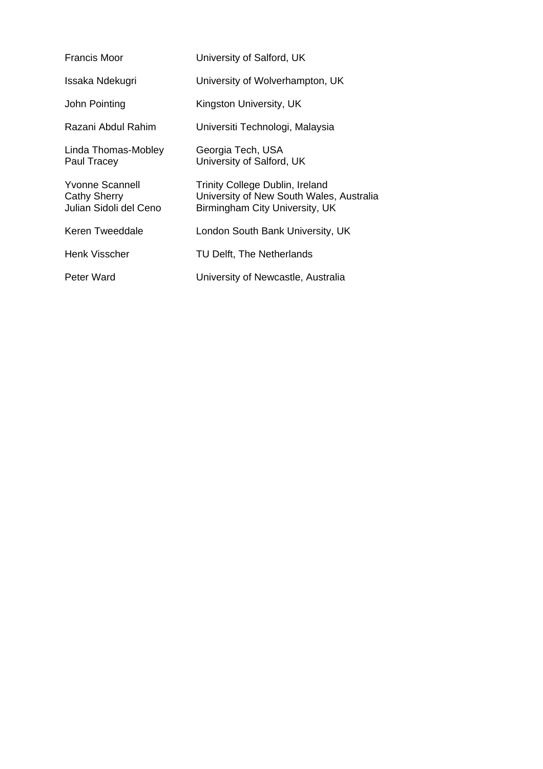| <b>Francis Moor</b>                                       | University of Salford, UK                                                                                     |
|-----------------------------------------------------------|---------------------------------------------------------------------------------------------------------------|
| Issaka Ndekugri                                           | University of Wolverhampton, UK                                                                               |
| John Pointing                                             | Kingston University, UK                                                                                       |
| Razani Abdul Rahim                                        | Universiti Technologi, Malaysia                                                                               |
| Linda Thomas-Mobley<br>Paul Tracey                        | Georgia Tech, USA<br>University of Salford, UK                                                                |
| Yvonne Scannell<br>Cathy Sherry<br>Julian Sidoli del Ceno | Trinity College Dublin, Ireland<br>University of New South Wales, Australia<br>Birmingham City University, UK |
| Keren Tweeddale                                           | London South Bank University, UK                                                                              |
| Henk Visscher                                             | TU Delft, The Netherlands                                                                                     |
| Peter Ward                                                | University of Newcastle, Australia                                                                            |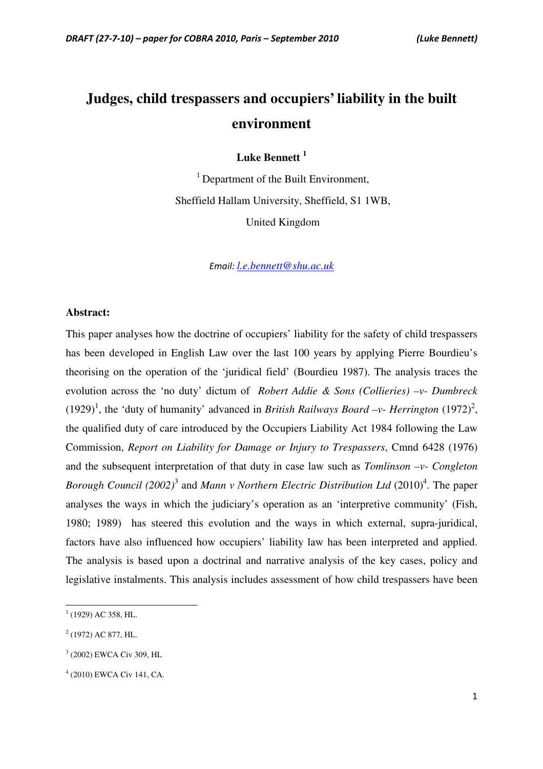# **Judges, child trespassers and occupiers' liability in the built environment**

**Luke Bennett <sup>1</sup>**

 $<sup>1</sup>$  Department of the Built Environment,</sup> Sheffield Hallam University, Sheffield, S1 1WB, United Kingdom

Email: *l.e.bennett@shu.ac.uk*

#### **Abstract:**

This paper analyses how the doctrine of occupiers' liability for the safety of child trespassers has been developed in English Law over the last 100 years by applying Pierre Bourdieu's theorising on the operation of the 'juridical field' (Bourdieu 1987). The analysis traces the evolution across the 'no duty' dictum of *Robert Addie & Sons (Collieries) –v- Dumbreck* (1929)<sup>1</sup>, the 'duty of humanity' advanced in *British Railways Board -v- Herrington* (1972)<sup>2</sup>, the qualified duty of care introduced by the Occupiers Liability Act 1984 following the Law Commission, *Report on Liability for Damage or Injury to Trespassers*, Cmnd 6428 (1976) and the subsequent interpretation of that duty in case law such as *Tomlinson –v- Congleton*  Borough Council (2002)<sup>3</sup> and Mann v Northern Electric Distribution Ltd (2010)<sup>4</sup>. The paper analyses the ways in which the judiciary's operation as an 'interpretive community' (Fish, 1980; 1989) has steered this evolution and the ways in which external, supra-juridical, factors have also influenced how occupiers' liability law has been interpreted and applied. The analysis is based upon a doctrinal and narrative analysis of the key cases, policy and legislative instalments. This analysis includes assessment of how child trespassers have been

 $\overline{a}$ 

 $1$  (1929) AC 358, HL.

 $2$  (1972) AC 877, HL.

<sup>3</sup> (2002) EWCA Civ 309, HL

<sup>4</sup> (2010) EWCA Civ 141, CA.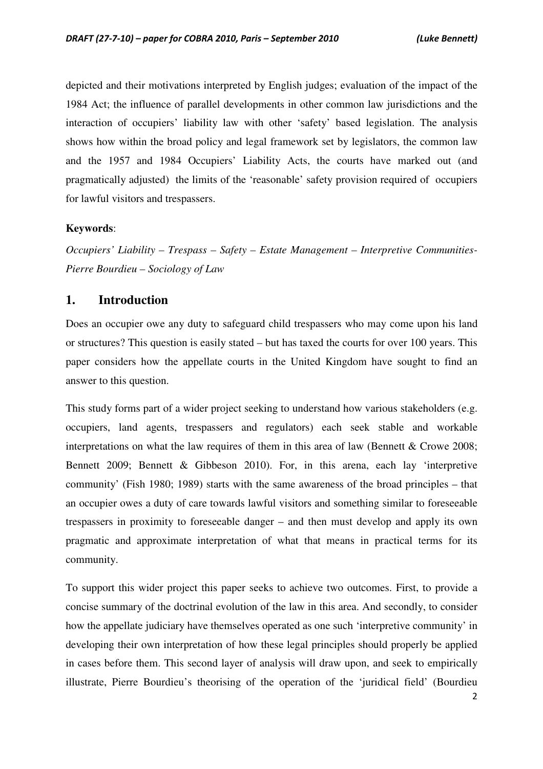depicted and their motivations interpreted by English judges; evaluation of the impact of the 1984 Act; the influence of parallel developments in other common law jurisdictions and the interaction of occupiers' liability law with other 'safety' based legislation. The analysis shows how within the broad policy and legal framework set by legislators, the common law and the 1957 and 1984 Occupiers' Liability Acts, the courts have marked out (and pragmatically adjusted) the limits of the 'reasonable' safety provision required of occupiers for lawful visitors and trespassers.

#### **Keywords**:

*Occupiers' Liability – Trespass – Safety – Estate Management – Interpretive Communities-Pierre Bourdieu – Sociology of Law* 

#### **1. Introduction**

Does an occupier owe any duty to safeguard child trespassers who may come upon his land or structures? This question is easily stated – but has taxed the courts for over 100 years. This paper considers how the appellate courts in the United Kingdom have sought to find an answer to this question.

This study forms part of a wider project seeking to understand how various stakeholders (e.g. occupiers, land agents, trespassers and regulators) each seek stable and workable interpretations on what the law requires of them in this area of law (Bennett  $&$  Crowe 2008; Bennett 2009; Bennett & Gibbeson 2010). For, in this arena, each lay 'interpretive community' (Fish 1980; 1989) starts with the same awareness of the broad principles – that an occupier owes a duty of care towards lawful visitors and something similar to foreseeable trespassers in proximity to foreseeable danger – and then must develop and apply its own pragmatic and approximate interpretation of what that means in practical terms for its community.

To support this wider project this paper seeks to achieve two outcomes. First, to provide a concise summary of the doctrinal evolution of the law in this area. And secondly, to consider how the appellate judiciary have themselves operated as one such 'interpretive community' in developing their own interpretation of how these legal principles should properly be applied in cases before them. This second layer of analysis will draw upon, and seek to empirically illustrate, Pierre Bourdieu's theorising of the operation of the 'juridical field' (Bourdieu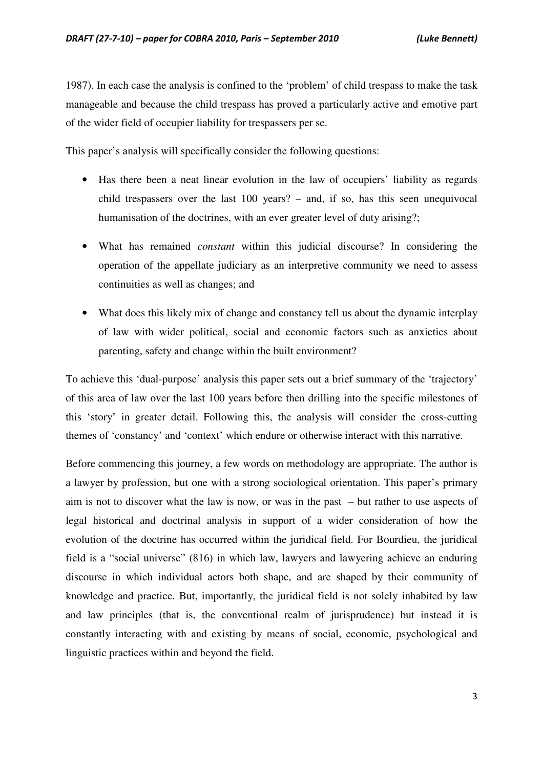1987). In each case the analysis is confined to the 'problem' of child trespass to make the task manageable and because the child trespass has proved a particularly active and emotive part of the wider field of occupier liability for trespassers per se.

This paper's analysis will specifically consider the following questions:

- Has there been a neat linear evolution in the law of occupiers' liability as regards child trespassers over the last 100 years? – and, if so, has this seen unequivocal humanisation of the doctrines, with an ever greater level of duty arising?;
- What has remained *constant* within this judicial discourse? In considering the operation of the appellate judiciary as an interpretive community we need to assess continuities as well as changes; and
- What does this likely mix of change and constancy tell us about the dynamic interplay of law with wider political, social and economic factors such as anxieties about parenting, safety and change within the built environment?

To achieve this 'dual-purpose' analysis this paper sets out a brief summary of the 'trajectory' of this area of law over the last 100 years before then drilling into the specific milestones of this 'story' in greater detail. Following this, the analysis will consider the cross-cutting themes of 'constancy' and 'context' which endure or otherwise interact with this narrative.

Before commencing this journey, a few words on methodology are appropriate. The author is a lawyer by profession, but one with a strong sociological orientation. This paper's primary aim is not to discover what the law is now, or was in the past – but rather to use aspects of legal historical and doctrinal analysis in support of a wider consideration of how the evolution of the doctrine has occurred within the juridical field. For Bourdieu, the juridical field is a "social universe" (816) in which law, lawyers and lawyering achieve an enduring discourse in which individual actors both shape, and are shaped by their community of knowledge and practice. But, importantly, the juridical field is not solely inhabited by law and law principles (that is, the conventional realm of jurisprudence) but instead it is constantly interacting with and existing by means of social, economic, psychological and linguistic practices within and beyond the field.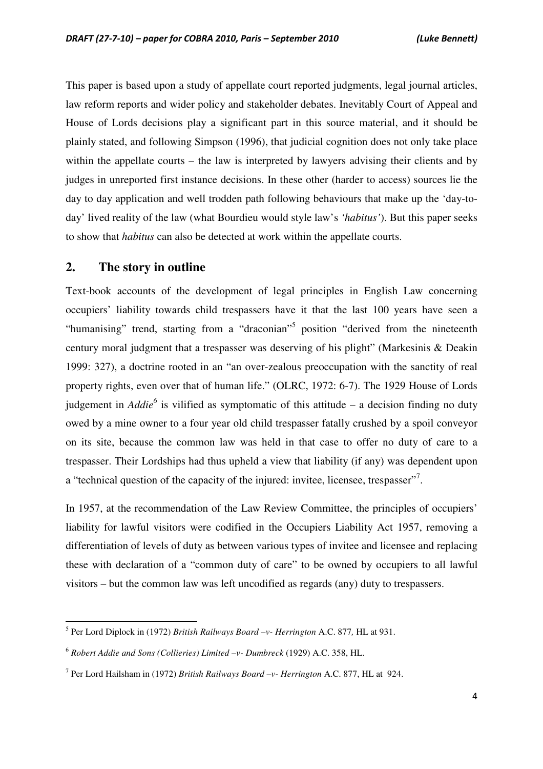This paper is based upon a study of appellate court reported judgments, legal journal articles, law reform reports and wider policy and stakeholder debates. Inevitably Court of Appeal and House of Lords decisions play a significant part in this source material, and it should be plainly stated, and following Simpson (1996), that judicial cognition does not only take place within the appellate courts – the law is interpreted by lawyers advising their clients and by judges in unreported first instance decisions. In these other (harder to access) sources lie the day to day application and well trodden path following behaviours that make up the 'day-today' lived reality of the law (what Bourdieu would style law's *'habitus'*). But this paper seeks to show that *habitus* can also be detected at work within the appellate courts.

## **2. The story in outline**

l

Text-book accounts of the development of legal principles in English Law concerning occupiers' liability towards child trespassers have it that the last 100 years have seen a "humanising" trend, starting from a "draconian"<sup>5</sup> position "derived from the nineteenth century moral judgment that a trespasser was deserving of his plight" (Markesinis & Deakin 1999: 327), a doctrine rooted in an "an over-zealous preoccupation with the sanctity of real property rights, even over that of human life." (OLRC, 1972: 6-7). The 1929 House of Lords judgement in *Addie<sup>6</sup>* is vilified as symptomatic of this attitude – a decision finding no duty owed by a mine owner to a four year old child trespasser fatally crushed by a spoil conveyor on its site, because the common law was held in that case to offer no duty of care to a trespasser. Their Lordships had thus upheld a view that liability (if any) was dependent upon a "technical question of the capacity of the injured: invitee, licensee, trespasser".

In 1957, at the recommendation of the Law Review Committee, the principles of occupiers' liability for lawful visitors were codified in the Occupiers Liability Act 1957, removing a differentiation of levels of duty as between various types of invitee and licensee and replacing these with declaration of a "common duty of care" to be owned by occupiers to all lawful visitors – but the common law was left uncodified as regards (any) duty to trespassers.

<sup>5</sup> Per Lord Diplock in (1972) *British Railways Board –v- Herrington* A.C. 877*,* HL at 931.

<sup>6</sup> *Robert Addie and Sons (Collieries) Limited –v- Dumbreck* (1929) A.C. 358, HL.

<sup>7</sup> Per Lord Hailsham in (1972) *British Railways Board –v- Herrington* A.C. 877, HL at 924.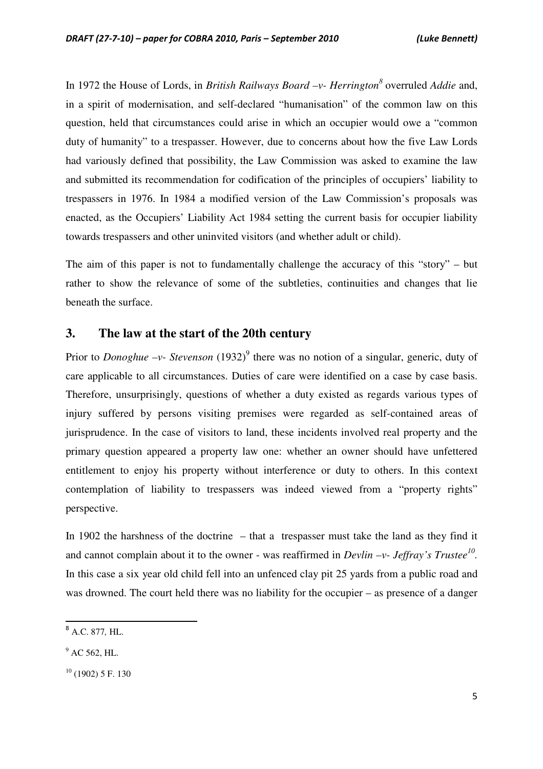In 1972 the House of Lords, in *British Railways Board –v- Herrington<sup>8</sup>* overruled *Addie* and, in a spirit of modernisation, and self-declared "humanisation" of the common law on this question, held that circumstances could arise in which an occupier would owe a "common duty of humanity" to a trespasser. However, due to concerns about how the five Law Lords had variously defined that possibility, the Law Commission was asked to examine the law and submitted its recommendation for codification of the principles of occupiers' liability to trespassers in 1976. In 1984 a modified version of the Law Commission's proposals was enacted, as the Occupiers' Liability Act 1984 setting the current basis for occupier liability towards trespassers and other uninvited visitors (and whether adult or child).

The aim of this paper is not to fundamentally challenge the accuracy of this "story" – but rather to show the relevance of some of the subtleties, continuities and changes that lie beneath the surface.

#### **3. The law at the start of the 20th century**

Prior to *Donoghue* -v- Stevenson (1932)<sup>9</sup> there was no notion of a singular, generic, duty of care applicable to all circumstances. Duties of care were identified on a case by case basis. Therefore, unsurprisingly, questions of whether a duty existed as regards various types of injury suffered by persons visiting premises were regarded as self-contained areas of jurisprudence. In the case of visitors to land, these incidents involved real property and the primary question appeared a property law one: whether an owner should have unfettered entitlement to enjoy his property without interference or duty to others. In this context contemplation of liability to trespassers was indeed viewed from a "property rights" perspective.

In 1902 the harshness of the doctrine – that a trespasser must take the land as they find it and cannot complain about it to the owner - was reaffirmed in *Devlin -v- Jeffray's Trustee*<sup>10</sup>. In this case a six year old child fell into an unfenced clay pit 25 yards from a public road and was drowned. The court held there was no liability for the occupier – as presence of a danger

<sup>8</sup> A.C. 877*,* HL.

 $^9$  AC 562, HL.

 $10$  (1902) 5 F. 130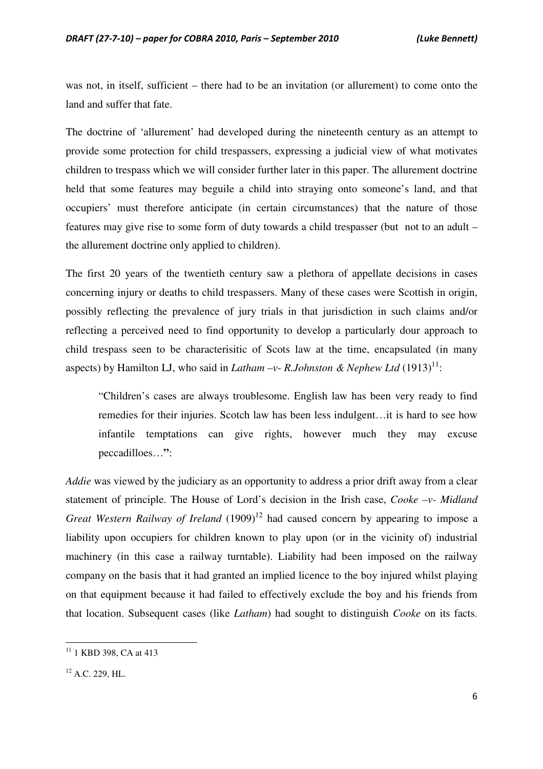was not, in itself, sufficient – there had to be an invitation (or allurement) to come onto the land and suffer that fate.

The doctrine of 'allurement' had developed during the nineteenth century as an attempt to provide some protection for child trespassers, expressing a judicial view of what motivates children to trespass which we will consider further later in this paper. The allurement doctrine held that some features may beguile a child into straying onto someone's land, and that occupiers' must therefore anticipate (in certain circumstances) that the nature of those features may give rise to some form of duty towards a child trespasser (but not to an adult – the allurement doctrine only applied to children).

The first 20 years of the twentieth century saw a plethora of appellate decisions in cases concerning injury or deaths to child trespassers. Many of these cases were Scottish in origin, possibly reflecting the prevalence of jury trials in that jurisdiction in such claims and/or reflecting a perceived need to find opportunity to develop a particularly dour approach to child trespass seen to be characterisitic of Scots law at the time, encapsulated (in many aspects) by Hamilton LJ, who said in *Latham -v- R.Johnston & Nephew Ltd*  $(1913)^{11}$ :

"Children's cases are always troublesome. English law has been very ready to find remedies for their injuries. Scotch law has been less indulgent…it is hard to see how infantile temptations can give rights, however much they may excuse peccadilloes…**"**:

*Addie* was viewed by the judiciary as an opportunity to address a prior drift away from a clear statement of principle. The House of Lord's decision in the Irish case, *Cooke –v- Midland Great Western Railway of Ireland* (1909)<sup>12</sup> had caused concern by appearing to impose a liability upon occupiers for children known to play upon (or in the vicinity of) industrial machinery (in this case a railway turntable). Liability had been imposed on the railway company on the basis that it had granted an implied licence to the boy injured whilst playing on that equipment because it had failed to effectively exclude the boy and his friends from that location. Subsequent cases (like *Latham*) had sought to distinguish *Cooke* on its facts.

<sup>&</sup>lt;sup>11</sup> 1 KBD 398, CA at 413

<sup>&</sup>lt;sup>12</sup> A.C. 229, HL.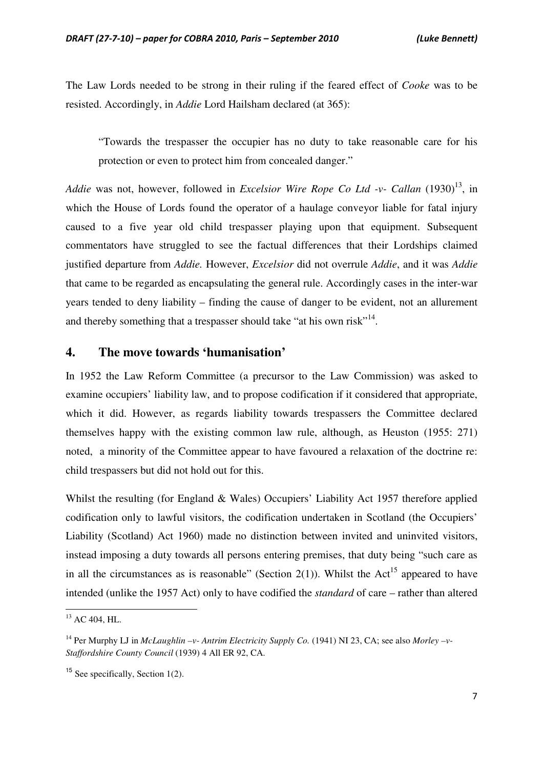The Law Lords needed to be strong in their ruling if the feared effect of *Cooke* was to be resisted. Accordingly, in *Addie* Lord Hailsham declared (at 365):

"Towards the trespasser the occupier has no duty to take reasonable care for his protection or even to protect him from concealed danger."

*Addie* was not, however, followed in *Excelsior Wire Rope Co Ltd -v- Callan* (1930)<sup>13</sup>, in which the House of Lords found the operator of a haulage conveyor liable for fatal injury caused to a five year old child trespasser playing upon that equipment. Subsequent commentators have struggled to see the factual differences that their Lordships claimed justified departure from *Addie.* However, *Excelsior* did not overrule *Addie*, and it was *Addie* that came to be regarded as encapsulating the general rule. Accordingly cases in the inter-war years tended to deny liability – finding the cause of danger to be evident, not an allurement and thereby something that a trespasser should take "at his own risk"<sup>14</sup>.

#### **4. The move towards 'humanisation'**

In 1952 the Law Reform Committee (a precursor to the Law Commission) was asked to examine occupiers' liability law, and to propose codification if it considered that appropriate, which it did. However, as regards liability towards trespassers the Committee declared themselves happy with the existing common law rule, although, as Heuston (1955: 271) noted, a minority of the Committee appear to have favoured a relaxation of the doctrine re: child trespassers but did not hold out for this.

Whilst the resulting (for England & Wales) Occupiers' Liability Act 1957 therefore applied codification only to lawful visitors, the codification undertaken in Scotland (the Occupiers' Liability (Scotland) Act 1960) made no distinction between invited and uninvited visitors, instead imposing a duty towards all persons entering premises, that duty being "such care as in all the circumstances as is reasonable" (Section 2(1)). Whilst the Act<sup>15</sup> appeared to have intended (unlike the 1957 Act) only to have codified the *standard* of care – rather than altered

 $^{13}$  AC 404, HL.

<sup>14</sup> Per Murphy LJ in *McLaughlin –v- Antrim Electricity Supply Co.* (1941) NI 23, CA; see also *Morley –v-Staffordshire County Council* (1939) 4 All ER 92, CA.

<sup>&</sup>lt;sup>15</sup> See specifically, Section  $1(2)$ .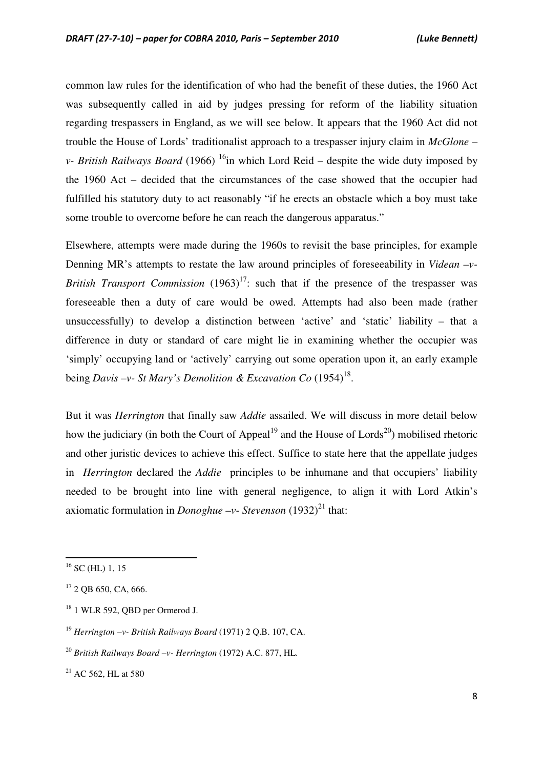common law rules for the identification of who had the benefit of these duties, the 1960 Act was subsequently called in aid by judges pressing for reform of the liability situation regarding trespassers in England, as we will see below. It appears that the 1960 Act did not trouble the House of Lords' traditionalist approach to a trespasser injury claim in *McGlone – v*- *British Railways Board* (1966) <sup>16</sup>in which Lord Reid – despite the wide duty imposed by the 1960 Act – decided that the circumstances of the case showed that the occupier had fulfilled his statutory duty to act reasonably "if he erects an obstacle which a boy must take some trouble to overcome before he can reach the dangerous apparatus."

Elsewhere, attempts were made during the 1960s to revisit the base principles, for example Denning MR's attempts to restate the law around principles of foreseeability in *Videan –v-British Transport Commission*  $(1963)^{17}$ : such that if the presence of the trespasser was foreseeable then a duty of care would be owed. Attempts had also been made (rather unsuccessfully) to develop a distinction between 'active' and 'static' liability – that a difference in duty or standard of care might lie in examining whether the occupier was 'simply' occupying land or 'actively' carrying out some operation upon it, an early example being *Davis -v- St Mary's Demolition & Excavation Co* (1954)<sup>18</sup>.

But it was *Herrington* that finally saw *Addie* assailed. We will discuss in more detail below how the judiciary (in both the Court of Appeal<sup>19</sup> and the House of Lords<sup>20</sup>) mobilised rhetoric and other juristic devices to achieve this effect. Suffice to state here that the appellate judges in *Herrington* declared the *Addie* principles to be inhumane and that occupiers' liability needed to be brought into line with general negligence, to align it with Lord Atkin's axiomatic formulation in *Donoghue –v- Stevenson*  $(1932)^{21}$  that:

 $\overline{a}$ 

 $16$  SC (HL) 1, 15

 $17$  2 QB 650, CA, 666.

<sup>18</sup> 1 WLR 592, QBD per Ormerod J.

<sup>19</sup> *Herrington –v- British Railways Board* (1971) 2 Q.B. 107, CA.

<sup>20</sup> *British Railways Board –v- Herrington* (1972) A.C. 877, HL.

 $21$  AC 562, HL at 580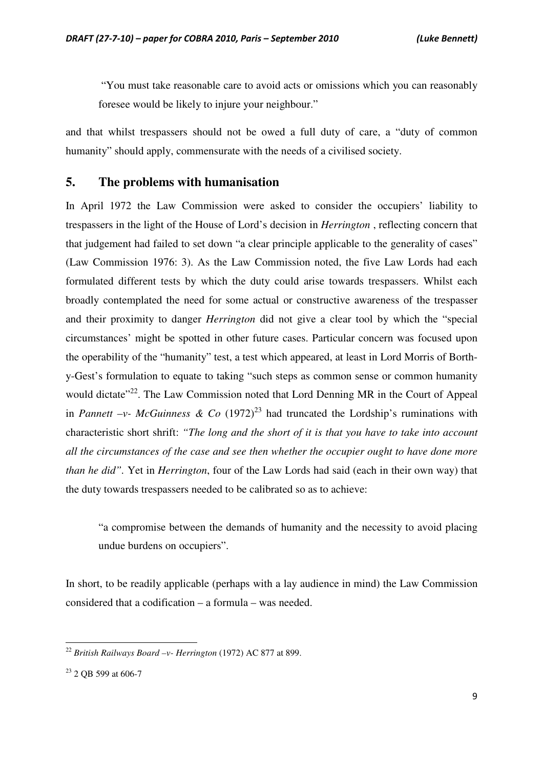"You must take reasonable care to avoid acts or omissions which you can reasonably foresee would be likely to injure your neighbour."

and that whilst trespassers should not be owed a full duty of care, a "duty of common humanity" should apply, commensurate with the needs of a civilised society.

#### **5. The problems with humanisation**

In April 1972 the Law Commission were asked to consider the occupiers' liability to trespassers in the light of the House of Lord's decision in *Herrington* , reflecting concern that that judgement had failed to set down "a clear principle applicable to the generality of cases" (Law Commission 1976: 3). As the Law Commission noted, the five Law Lords had each formulated different tests by which the duty could arise towards trespassers. Whilst each broadly contemplated the need for some actual or constructive awareness of the trespasser and their proximity to danger *Herrington* did not give a clear tool by which the "special circumstances' might be spotted in other future cases. Particular concern was focused upon the operability of the "humanity" test, a test which appeared, at least in Lord Morris of Borthy-Gest's formulation to equate to taking "such steps as common sense or common humanity would dictate<sup>"22</sup>. The Law Commission noted that Lord Denning MR in the Court of Appeal in *Pannett –v- McGuinness & Co*  $(1972)^{23}$  had truncated the Lordship's ruminations with characteristic short shrift: *"The long and the short of it is that you have to take into account all the circumstances of the case and see then whether the occupier ought to have done more than he did".* Yet in *Herrington*, four of the Law Lords had said (each in their own way) that the duty towards trespassers needed to be calibrated so as to achieve:

"a compromise between the demands of humanity and the necessity to avoid placing undue burdens on occupiers".

In short, to be readily applicable (perhaps with a lay audience in mind) the Law Commission considered that a codification – a formula – was needed.

<sup>22</sup> *British Railways Board –v- Herrington* (1972) AC 877 at 899.

<sup>&</sup>lt;sup>23</sup> 2 QB 599 at 606-7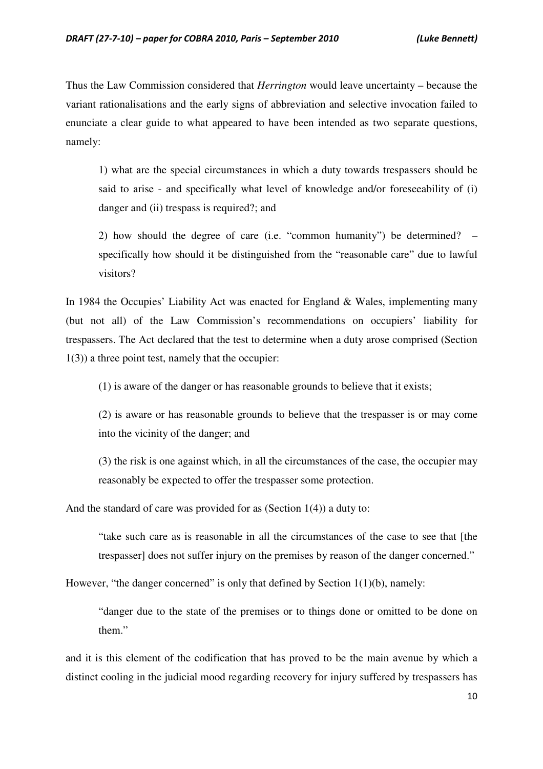Thus the Law Commission considered that *Herrington* would leave uncertainty – because the variant rationalisations and the early signs of abbreviation and selective invocation failed to enunciate a clear guide to what appeared to have been intended as two separate questions, namely:

1) what are the special circumstances in which a duty towards trespassers should be said to arise - and specifically what level of knowledge and/or foreseeability of (i) danger and (ii) trespass is required?; and

2) how should the degree of care (i.e. "common humanity") be determined? – specifically how should it be distinguished from the "reasonable care" due to lawful visitors?

In 1984 the Occupies' Liability Act was enacted for England & Wales, implementing many (but not all) of the Law Commission's recommendations on occupiers' liability for trespassers. The Act declared that the test to determine when a duty arose comprised (Section 1(3)) a three point test, namely that the occupier:

(1) is aware of the danger or has reasonable grounds to believe that it exists;

(2) is aware or has reasonable grounds to believe that the trespasser is or may come into the vicinity of the danger; and

(3) the risk is one against which, in all the circumstances of the case, the occupier may reasonably be expected to offer the trespasser some protection.

And the standard of care was provided for as (Section 1(4)) a duty to:

"take such care as is reasonable in all the circumstances of the case to see that [the trespasser] does not suffer injury on the premises by reason of the danger concerned."

However, "the danger concerned" is only that defined by Section  $1(1)(b)$ , namely:

"danger due to the state of the premises or to things done or omitted to be done on them."

and it is this element of the codification that has proved to be the main avenue by which a distinct cooling in the judicial mood regarding recovery for injury suffered by trespassers has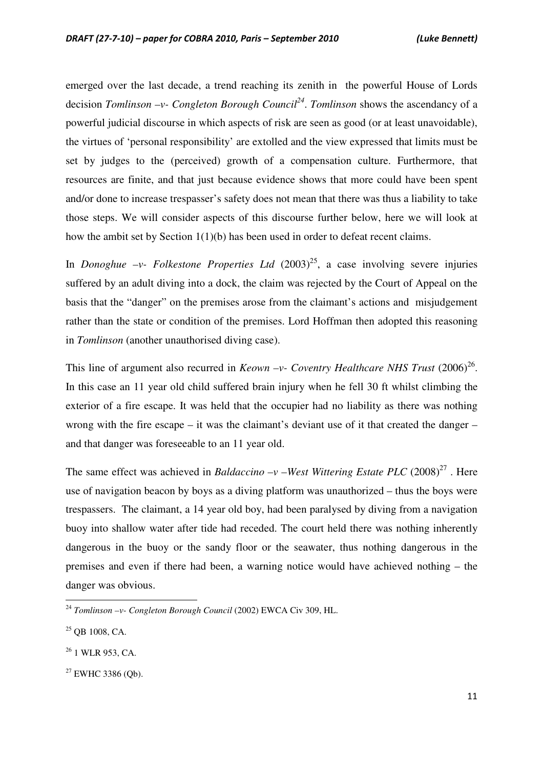emerged over the last decade, a trend reaching its zenith in the powerful House of Lords decision *Tomlinson –v- Congleton Borough Council<sup>24</sup>* . *Tomlinson* shows the ascendancy of a powerful judicial discourse in which aspects of risk are seen as good (or at least unavoidable), the virtues of 'personal responsibility' are extolled and the view expressed that limits must be set by judges to the (perceived) growth of a compensation culture. Furthermore, that resources are finite, and that just because evidence shows that more could have been spent and/or done to increase trespasser's safety does not mean that there was thus a liability to take those steps. We will consider aspects of this discourse further below, here we will look at how the ambit set by Section 1(1)(b) has been used in order to defeat recent claims.

In *Donoghue –v- Folkestone Properties Ltd*  $(2003)^{25}$ , a case involving severe injuries suffered by an adult diving into a dock, the claim was rejected by the Court of Appeal on the basis that the "danger" on the premises arose from the claimant's actions and misjudgement rather than the state or condition of the premises. Lord Hoffman then adopted this reasoning in *Tomlinson* (another unauthorised diving case).

This line of argument also recurred in *Keown -v- Coventry Healthcare NHS Trust*  $(2006)^{26}$ . In this case an 11 year old child suffered brain injury when he fell 30 ft whilst climbing the exterior of a fire escape. It was held that the occupier had no liability as there was nothing wrong with the fire escape – it was the claimant's deviant use of it that created the danger – and that danger was foreseeable to an 11 year old.

The same effect was achieved in *Baldaccino -v -West Wittering Estate PLC*  $(2008)^{27}$ . Here use of navigation beacon by boys as a diving platform was unauthorized – thus the boys were trespassers. The claimant, a 14 year old boy, had been paralysed by diving from a navigation buoy into shallow water after tide had receded. The court held there was nothing inherently dangerous in the buoy or the sandy floor or the seawater, thus nothing dangerous in the premises and even if there had been, a warning notice would have achieved nothing – the danger was obvious.

<sup>24</sup> *Tomlinson –v- Congleton Borough Council* (2002) EWCA Civ 309, HL.

<sup>25</sup> QB 1008, CA.

<sup>&</sup>lt;sup>26</sup> 1 WLR 953, CA.

<sup>&</sup>lt;sup>27</sup> EWHC 3386 (Ob).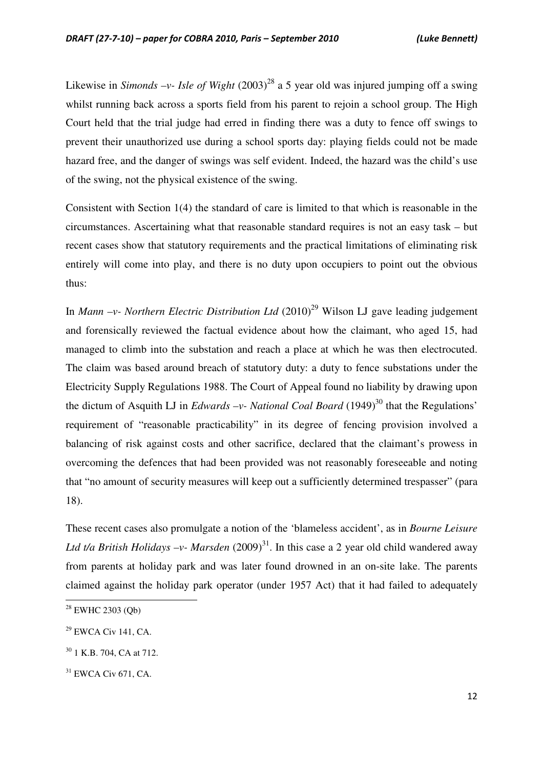Likewise in *Simonds –v- Isle of Wight*  $(2003)^{28}$  a 5 year old was injured jumping off a swing whilst running back across a sports field from his parent to rejoin a school group. The High Court held that the trial judge had erred in finding there was a duty to fence off swings to prevent their unauthorized use during a school sports day: playing fields could not be made hazard free, and the danger of swings was self evident. Indeed, the hazard was the child's use of the swing, not the physical existence of the swing.

Consistent with Section 1(4) the standard of care is limited to that which is reasonable in the circumstances. Ascertaining what that reasonable standard requires is not an easy task – but recent cases show that statutory requirements and the practical limitations of eliminating risk entirely will come into play, and there is no duty upon occupiers to point out the obvious thus:

In *Mann –v- Northern Electric Distribution Ltd* (2010)<sup>29</sup> Wilson LJ gave leading judgement and forensically reviewed the factual evidence about how the claimant, who aged 15, had managed to climb into the substation and reach a place at which he was then electrocuted. The claim was based around breach of statutory duty: a duty to fence substations under the Electricity Supply Regulations 1988. The Court of Appeal found no liability by drawing upon the dictum of Asquith LJ in *Edwards –v- National Coal Board*  $(1949)^{30}$  that the Regulations' requirement of "reasonable practicability" in its degree of fencing provision involved a balancing of risk against costs and other sacrifice, declared that the claimant's prowess in overcoming the defences that had been provided was not reasonably foreseeable and noting that "no amount of security measures will keep out a sufficiently determined trespasser" (para 18).

These recent cases also promulgate a notion of the 'blameless accident', as in *Bourne Leisure Ltd t/a British Holidays –v- Marsden*  $(2009)^{31}$ . In this case a 2 year old child wandered away from parents at holiday park and was later found drowned in an on-site lake. The parents claimed against the holiday park operator (under 1957 Act) that it had failed to adequately

 $28$  EWHC 2303 (Ob)

<sup>29</sup> EWCA Civ 141, CA.

<sup>&</sup>lt;sup>30</sup> 1 K.B. 704, CA at 712.

<sup>&</sup>lt;sup>31</sup> EWCA Civ 671, CA.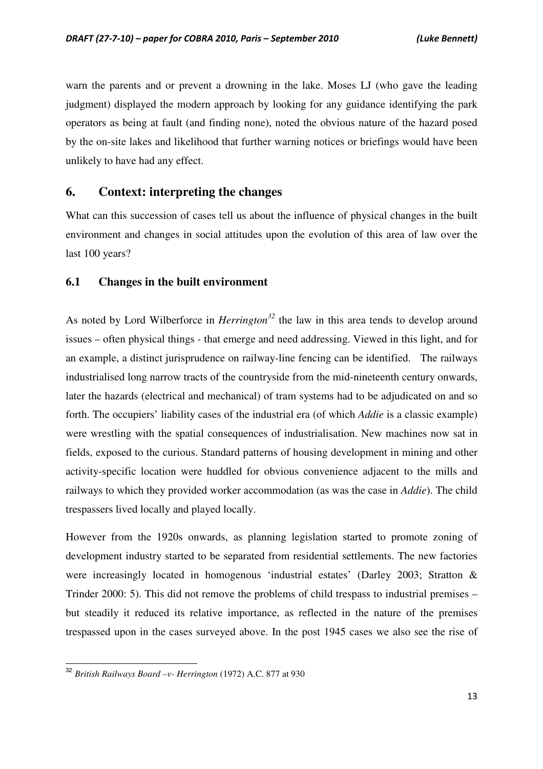warn the parents and or prevent a drowning in the lake. Moses LJ (who gave the leading judgment) displayed the modern approach by looking for any guidance identifying the park operators as being at fault (and finding none), noted the obvious nature of the hazard posed by the on-site lakes and likelihood that further warning notices or briefings would have been unlikely to have had any effect.

## **6. Context: interpreting the changes**

What can this succession of cases tell us about the influence of physical changes in the built environment and changes in social attitudes upon the evolution of this area of law over the last 100 years?

#### **6.1 Changes in the built environment**

As noted by Lord Wilberforce in *Herrington<sup>32</sup>* the law in this area tends to develop around issues – often physical things - that emerge and need addressing. Viewed in this light, and for an example, a distinct jurisprudence on railway-line fencing can be identified. The railways industrialised long narrow tracts of the countryside from the mid-nineteenth century onwards, later the hazards (electrical and mechanical) of tram systems had to be adjudicated on and so forth. The occupiers' liability cases of the industrial era (of which *Addie* is a classic example) were wrestling with the spatial consequences of industrialisation. New machines now sat in fields, exposed to the curious. Standard patterns of housing development in mining and other activity-specific location were huddled for obvious convenience adjacent to the mills and railways to which they provided worker accommodation (as was the case in *Addie*). The child trespassers lived locally and played locally.

However from the 1920s onwards, as planning legislation started to promote zoning of development industry started to be separated from residential settlements. The new factories were increasingly located in homogenous 'industrial estates' (Darley 2003; Stratton & Trinder 2000: 5). This did not remove the problems of child trespass to industrial premises – but steadily it reduced its relative importance, as reflected in the nature of the premises trespassed upon in the cases surveyed above. In the post 1945 cases we also see the rise of

<sup>32</sup> *British Railways Board –v- Herrington* (1972) A.C. 877 at 930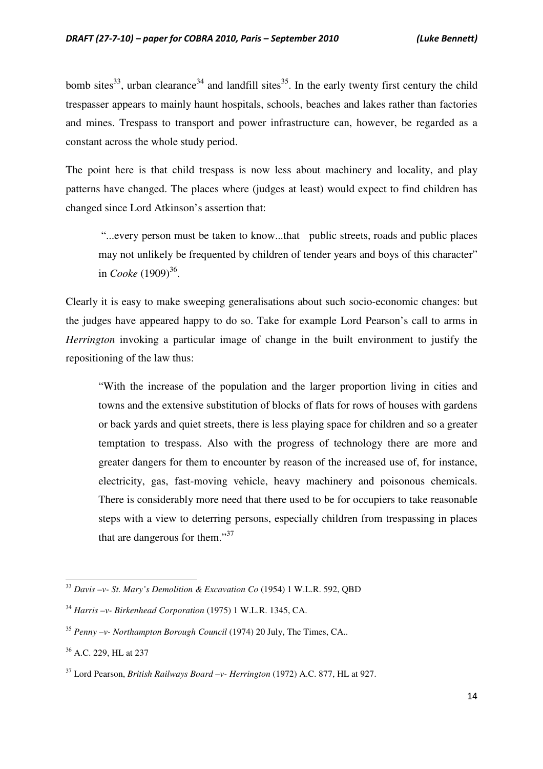bomb sites<sup>33</sup>, urban clearance<sup>34</sup> and landfill sites<sup>35</sup>. In the early twenty first century the child trespasser appears to mainly haunt hospitals, schools, beaches and lakes rather than factories and mines. Trespass to transport and power infrastructure can, however, be regarded as a constant across the whole study period.

The point here is that child trespass is now less about machinery and locality, and play patterns have changed. The places where (judges at least) would expect to find children has changed since Lord Atkinson's assertion that:

 "...every person must be taken to know...that public streets, roads and public places may not unlikely be frequented by children of tender years and boys of this character" in *Cooke* (1909)<sup>36</sup>.

Clearly it is easy to make sweeping generalisations about such socio-economic changes: but the judges have appeared happy to do so. Take for example Lord Pearson's call to arms in *Herrington* invoking a particular image of change in the built environment to justify the repositioning of the law thus:

"With the increase of the population and the larger proportion living in cities and towns and the extensive substitution of blocks of flats for rows of houses with gardens or back yards and quiet streets, there is less playing space for children and so a greater temptation to trespass. Also with the progress of technology there are more and greater dangers for them to encounter by reason of the increased use of, for instance, electricity, gas, fast-moving vehicle, heavy machinery and poisonous chemicals. There is considerably more need that there used to be for occupiers to take reasonable steps with a view to deterring persons, especially children from trespassing in places that are dangerous for them." $37$ 

<sup>33</sup> *Davis –v- St. Mary's Demolition & Excavation Co* (1954) 1 W.L.R. 592, QBD

<sup>34</sup> *Harris –v- Birkenhead Corporation* (1975) 1 W.L.R. 1345, CA.

<sup>35</sup> *Penny –v- Northampton Borough Council* (1974) 20 July, The Times, CA..

<sup>36</sup> A.C. 229, HL at 237

<sup>37</sup> Lord Pearson, *British Railways Board –v- Herrington* (1972) A.C. 877, HL at 927.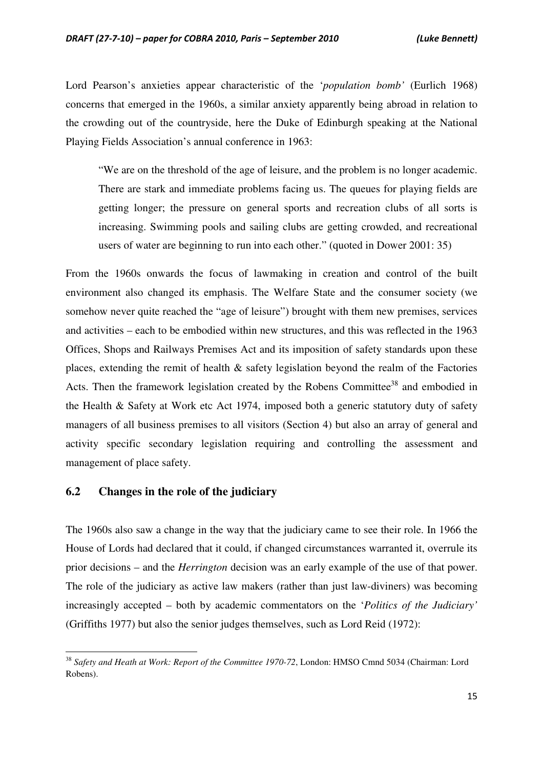Lord Pearson's anxieties appear characteristic of the '*population bomb'* (Eurlich 1968) concerns that emerged in the 1960s, a similar anxiety apparently being abroad in relation to the crowding out of the countryside, here the Duke of Edinburgh speaking at the National Playing Fields Association's annual conference in 1963:

"We are on the threshold of the age of leisure, and the problem is no longer academic. There are stark and immediate problems facing us. The queues for playing fields are getting longer; the pressure on general sports and recreation clubs of all sorts is increasing. Swimming pools and sailing clubs are getting crowded, and recreational users of water are beginning to run into each other." (quoted in Dower 2001: 35)

From the 1960s onwards the focus of lawmaking in creation and control of the built environment also changed its emphasis. The Welfare State and the consumer society (we somehow never quite reached the "age of leisure") brought with them new premises, services and activities – each to be embodied within new structures, and this was reflected in the 1963 Offices, Shops and Railways Premises Act and its imposition of safety standards upon these places, extending the remit of health & safety legislation beyond the realm of the Factories Acts. Then the framework legislation created by the Robens Committee<sup>38</sup> and embodied in the Health & Safety at Work etc Act 1974, imposed both a generic statutory duty of safety managers of all business premises to all visitors (Section 4) but also an array of general and activity specific secondary legislation requiring and controlling the assessment and management of place safety.

#### **6.2 Changes in the role of the judiciary**

 $\overline{a}$ 

The 1960s also saw a change in the way that the judiciary came to see their role. In 1966 the House of Lords had declared that it could, if changed circumstances warranted it, overrule its prior decisions – and the *Herrington* decision was an early example of the use of that power. The role of the judiciary as active law makers (rather than just law-diviners) was becoming increasingly accepted – both by academic commentators on the '*Politics of the Judiciary'* (Griffiths 1977) but also the senior judges themselves, such as Lord Reid (1972):

<sup>38</sup> *Safety and Heath at Work: Report of the Committee 1970-72*, London: HMSO Cmnd 5034 (Chairman: Lord Robens).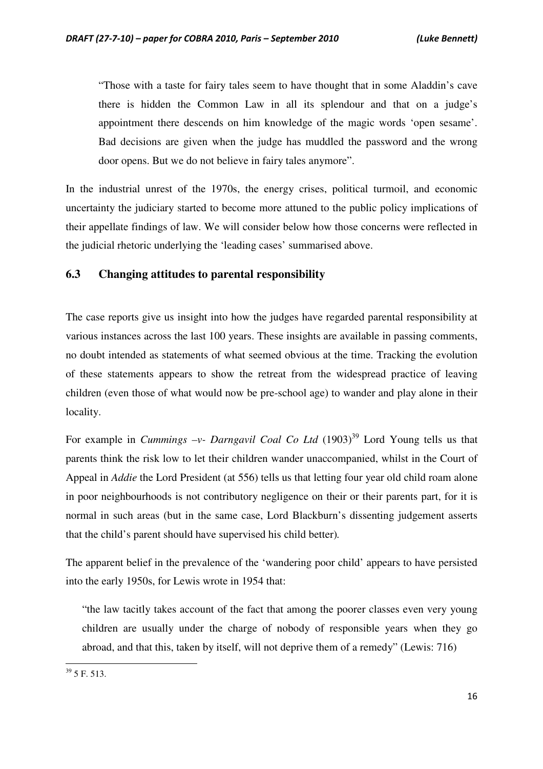"Those with a taste for fairy tales seem to have thought that in some Aladdin's cave there is hidden the Common Law in all its splendour and that on a judge's appointment there descends on him knowledge of the magic words 'open sesame'. Bad decisions are given when the judge has muddled the password and the wrong door opens. But we do not believe in fairy tales anymore".

In the industrial unrest of the 1970s, the energy crises, political turmoil, and economic uncertainty the judiciary started to become more attuned to the public policy implications of their appellate findings of law. We will consider below how those concerns were reflected in the judicial rhetoric underlying the 'leading cases' summarised above.

#### **6.3 Changing attitudes to parental responsibility**

The case reports give us insight into how the judges have regarded parental responsibility at various instances across the last 100 years. These insights are available in passing comments, no doubt intended as statements of what seemed obvious at the time. Tracking the evolution of these statements appears to show the retreat from the widespread practice of leaving children (even those of what would now be pre-school age) to wander and play alone in their locality.

For example in *Cummings -v- Darngavil Coal Co Ltd*  $(1903)^{39}$  Lord Young tells us that parents think the risk low to let their children wander unaccompanied, whilst in the Court of Appeal in *Addie* the Lord President (at 556) tells us that letting four year old child roam alone in poor neighbourhoods is not contributory negligence on their or their parents part, for it is normal in such areas (but in the same case, Lord Blackburn's dissenting judgement asserts that the child's parent should have supervised his child better)*.* 

The apparent belief in the prevalence of the 'wandering poor child' appears to have persisted into the early 1950s, for Lewis wrote in 1954 that:

"the law tacitly takes account of the fact that among the poorer classes even very young children are usually under the charge of nobody of responsible years when they go abroad, and that this, taken by itself, will not deprive them of a remedy" (Lewis: 716)

<sup>39</sup> 5 F. 513.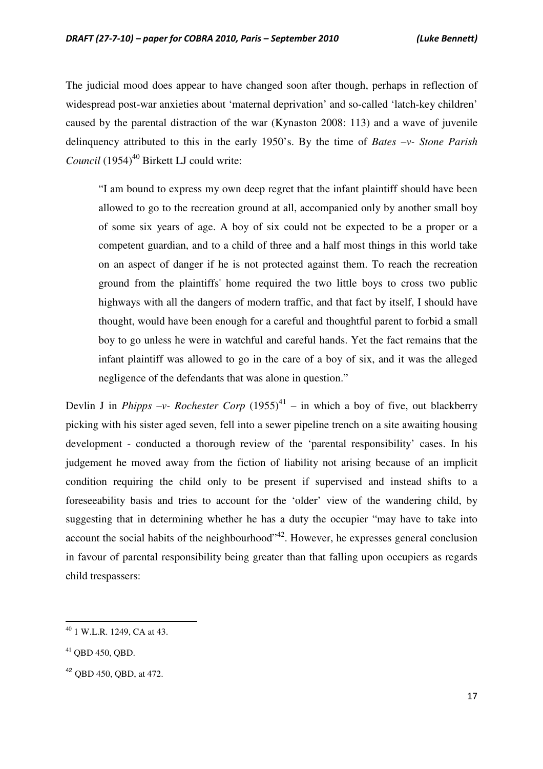The judicial mood does appear to have changed soon after though, perhaps in reflection of widespread post-war anxieties about 'maternal deprivation' and so-called 'latch-key children' caused by the parental distraction of the war (Kynaston 2008: 113) and a wave of juvenile delinquency attributed to this in the early 1950's. By the time of *Bates –v- Stone Parish Council* (1954)<sup>40</sup> Birkett LJ could write:

"I am bound to express my own deep regret that the infant plaintiff should have been allowed to go to the recreation ground at all, accompanied only by another small boy of some six years of age. A boy of six could not be expected to be a proper or a competent guardian, and to a child of three and a half most things in this world take on an aspect of danger if he is not protected against them. To reach the recreation ground from the plaintiffs' home required the two little boys to cross two public highways with all the dangers of modern traffic, and that fact by itself, I should have thought, would have been enough for a careful and thoughtful parent to forbid a small boy to go unless he were in watchful and careful hands. Yet the fact remains that the infant plaintiff was allowed to go in the care of a boy of six, and it was the alleged negligence of the defendants that was alone in question."

Devlin J in *Phipps –v- Rochester Corp* (1955)<sup>41</sup> – in which a boy of five, out blackberry picking with his sister aged seven, fell into a sewer pipeline trench on a site awaiting housing development - conducted a thorough review of the 'parental responsibility' cases. In his judgement he moved away from the fiction of liability not arising because of an implicit condition requiring the child only to be present if supervised and instead shifts to a foreseeability basis and tries to account for the 'older' view of the wandering child, by suggesting that in determining whether he has a duty the occupier "may have to take into account the social habits of the neighbourhood"<sup>42</sup>. However, he expresses general conclusion in favour of parental responsibility being greater than that falling upon occupiers as regards child trespassers:

<sup>40</sup> 1 W.L.R. 1249, CA at 43.

<sup>41</sup> QBD 450, QBD.

<sup>42</sup> QBD 450, QBD, at 472.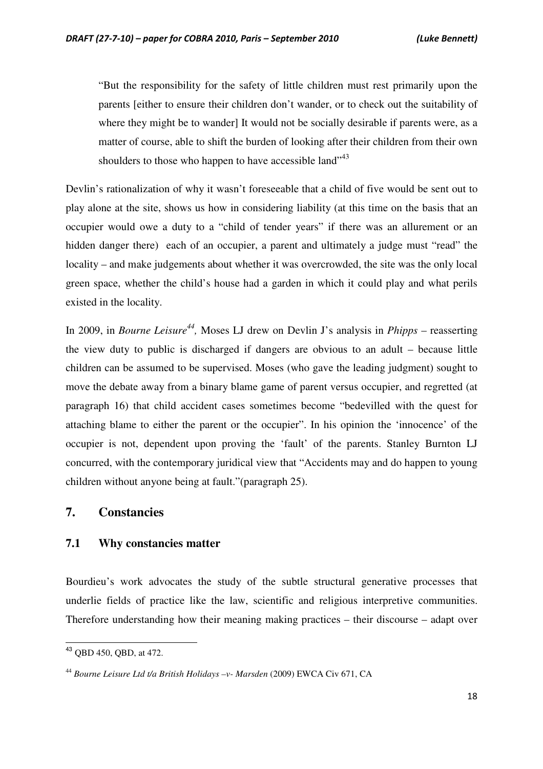"But the responsibility for the safety of little children must rest primarily upon the parents [either to ensure their children don't wander, or to check out the suitability of where they might be to wander] It would not be socially desirable if parents were, as a matter of course, able to shift the burden of looking after their children from their own shoulders to those who happen to have accessible land"<sup>43</sup>

Devlin's rationalization of why it wasn't foreseeable that a child of five would be sent out to play alone at the site, shows us how in considering liability (at this time on the basis that an occupier would owe a duty to a "child of tender years" if there was an allurement or an hidden danger there) each of an occupier, a parent and ultimately a judge must "read" the locality – and make judgements about whether it was overcrowded, the site was the only local green space, whether the child's house had a garden in which it could play and what perils existed in the locality.

In 2009, in *Bourne Leisure*<sup>44</sup>, Moses LJ drew on Devlin J's analysis in *Phipps* – reasserting the view duty to public is discharged if dangers are obvious to an adult – because little children can be assumed to be supervised. Moses (who gave the leading judgment) sought to move the debate away from a binary blame game of parent versus occupier, and regretted (at paragraph 16) that child accident cases sometimes become "bedevilled with the quest for attaching blame to either the parent or the occupier". In his opinion the 'innocence' of the occupier is not, dependent upon proving the 'fault' of the parents. Stanley Burnton LJ concurred, with the contemporary juridical view that "Accidents may and do happen to young children without anyone being at fault."(paragraph 25).

## **7. Constancies**

#### **7.1 Why constancies matter**

Bourdieu's work advocates the study of the subtle structural generative processes that underlie fields of practice like the law, scientific and religious interpretive communities. Therefore understanding how their meaning making practices – their discourse – adapt over

<sup>43</sup> QBD 450, QBD, at 472.

<sup>44</sup> *Bourne Leisure Ltd t/a British Holidays –v- Marsden* (2009) EWCA Civ 671, CA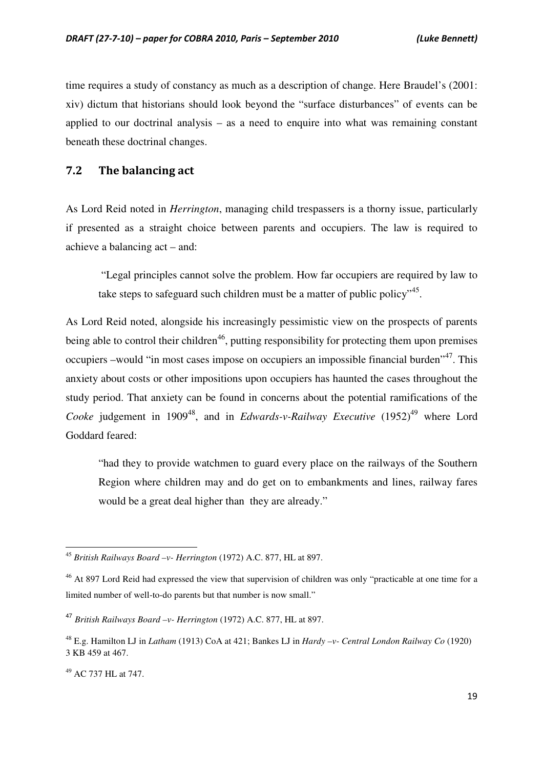time requires a study of constancy as much as a description of change. Here Braudel's (2001: xiv) dictum that historians should look beyond the "surface disturbances" of events can be applied to our doctrinal analysis – as a need to enquire into what was remaining constant beneath these doctrinal changes.

### 7.2 The balancing act

As Lord Reid noted in *Herrington*, managing child trespassers is a thorny issue, particularly if presented as a straight choice between parents and occupiers. The law is required to achieve a balancing act – and:

 "Legal principles cannot solve the problem. How far occupiers are required by law to take steps to safeguard such children must be a matter of public policy"<sup>45</sup>.

As Lord Reid noted, alongside his increasingly pessimistic view on the prospects of parents being able to control their children<sup>46</sup>, putting responsibility for protecting them upon premises occupiers –would "in most cases impose on occupiers an impossible financial burden", This anxiety about costs or other impositions upon occupiers has haunted the cases throughout the study period. That anxiety can be found in concerns about the potential ramifications of the *Cooke* judgement in 1909<sup>48</sup>, and in *Edwards-v-Railway Executive* (1952)<sup>49</sup> where Lord Goddard feared:

"had they to provide watchmen to guard every place on the railways of the Southern Region where children may and do get on to embankments and lines, railway fares would be a great deal higher than they are already."

<sup>49</sup> AC 737 HL at 747.

<sup>45</sup> *British Railways Board –v- Herrington* (1972) A.C. 877, HL at 897.

<sup>&</sup>lt;sup>46</sup> At 897 Lord Reid had expressed the view that supervision of children was only "practicable at one time for a limited number of well-to-do parents but that number is now small."

<sup>47</sup> *British Railways Board –v- Herrington* (1972) A.C. 877, HL at 897.

<sup>48</sup> E.g. Hamilton LJ in *Latham* (1913) CoA at 421; Bankes LJ in *Hardy –v- Central London Railway Co* (1920) 3 KB 459 at 467.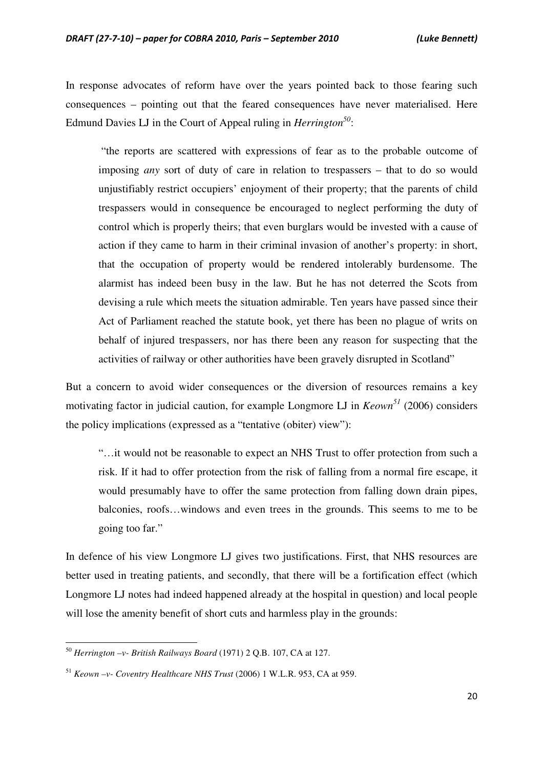In response advocates of reform have over the years pointed back to those fearing such consequences – pointing out that the feared consequences have never materialised. Here Edmund Davies LJ in the Court of Appeal ruling in *Herrington<sup>50</sup>* :

 "the reports are scattered with expressions of fear as to the probable outcome of imposing *any* sort of duty of care in relation to trespassers – that to do so would unjustifiably restrict occupiers' enjoyment of their property; that the parents of child trespassers would in consequence be encouraged to neglect performing the duty of control which is properly theirs; that even burglars would be invested with a cause of action if they came to harm in their criminal invasion of another's property: in short, that the occupation of property would be rendered intolerably burdensome. The alarmist has indeed been busy in the law. But he has not deterred the Scots from devising a rule which meets the situation admirable. Ten years have passed since their Act of Parliament reached the statute book, yet there has been no plague of writs on behalf of injured trespassers, nor has there been any reason for suspecting that the activities of railway or other authorities have been gravely disrupted in Scotland"

But a concern to avoid wider consequences or the diversion of resources remains a key motivating factor in judicial caution, for example Longmore LJ in *Keown<sup>51</sup>* (2006) considers the policy implications (expressed as a "tentative (obiter) view"):

"…it would not be reasonable to expect an NHS Trust to offer protection from such a risk. If it had to offer protection from the risk of falling from a normal fire escape, it would presumably have to offer the same protection from falling down drain pipes, balconies, roofs…windows and even trees in the grounds. This seems to me to be going too far."

In defence of his view Longmore LJ gives two justifications. First, that NHS resources are better used in treating patients, and secondly, that there will be a fortification effect (which Longmore LJ notes had indeed happened already at the hospital in question) and local people will lose the amenity benefit of short cuts and harmless play in the grounds:

<sup>50</sup> *Herrington –v- British Railways Board* (1971) 2 Q.B. 107, CA at 127.

<sup>51</sup> *Keown –v- Coventry Healthcare NHS Trust* (2006) 1 W.L.R. 953, CA at 959.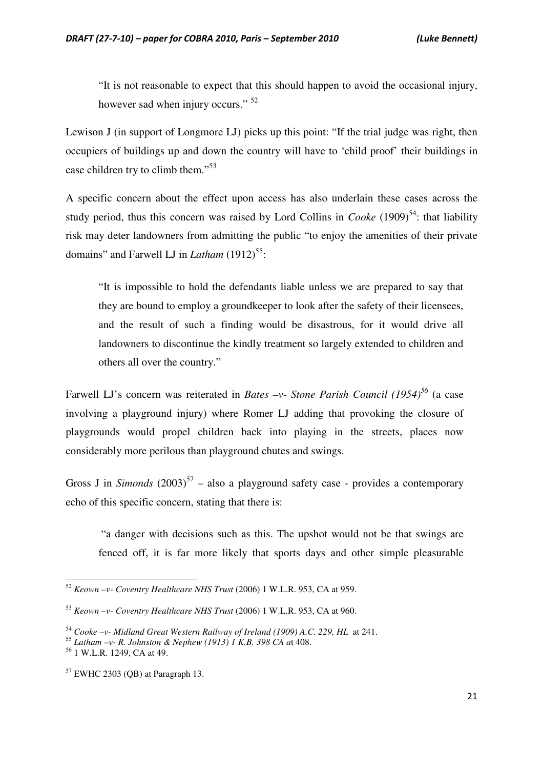"It is not reasonable to expect that this should happen to avoid the occasional injury, however sad when injury occurs." <sup>52</sup>

Lewison J (in support of Longmore LJ) picks up this point: "If the trial judge was right, then occupiers of buildings up and down the country will have to 'child proof' their buildings in case children try to climb them."<sup>53</sup>

A specific concern about the effect upon access has also underlain these cases across the study period, thus this concern was raised by Lord Collins in *Cooke*  $(1909)^{54}$ : that liability risk may deter landowners from admitting the public "to enjoy the amenities of their private domains" and Farwell LJ in *Latham* (1912)<sup>55</sup>:

"It is impossible to hold the defendants liable unless we are prepared to say that they are bound to employ a groundkeeper to look after the safety of their licensees, and the result of such a finding would be disastrous, for it would drive all landowners to discontinue the kindly treatment so largely extended to children and others all over the country."

Farwell LJ's concern was reiterated in *Bates –v- Stone Parish Council (1954)<sup>56</sup>* (a case involving a playground injury) where Romer LJ adding that provoking the closure of playgrounds would propel children back into playing in the streets, places now considerably more perilous than playground chutes and swings.

Gross J in *Simonds*  $(2003)^{57}$  – also a playground safety case - provides a contemporary echo of this specific concern, stating that there is:

 "a danger with decisions such as this. The upshot would not be that swings are fenced off, it is far more likely that sports days and other simple pleasurable

<sup>52</sup> *Keown –v- Coventry Healthcare NHS Trust* (2006) 1 W.L.R. 953, CA at 959.

<sup>53</sup> *Keown –v- Coventry Healthcare NHS Trust* (2006) 1 W.L.R. 953, CA at 960.

<sup>54</sup> *Cooke –v- Midland Great Western Railway of Ireland (1909) A.C. 229, HL* at 241.

<sup>55</sup> *Latham –v- R. Johnston & Nephew (1913) 1 K.B. 398 CA a*t 408.

<sup>56</sup> 1 W.L.R. 1249, CA at 49.

<sup>57</sup> EWHC 2303 (QB) at Paragraph 13.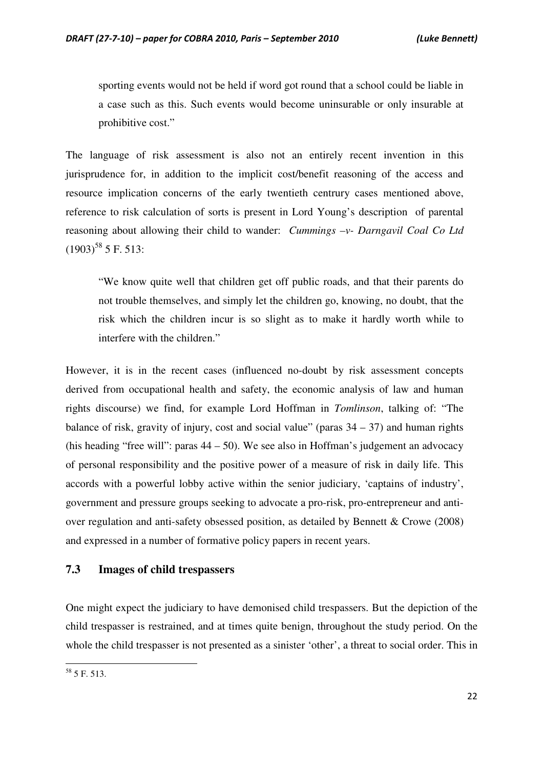sporting events would not be held if word got round that a school could be liable in a case such as this. Such events would become uninsurable or only insurable at prohibitive cost."

The language of risk assessment is also not an entirely recent invention in this jurisprudence for, in addition to the implicit cost/benefit reasoning of the access and resource implication concerns of the early twentieth centrury cases mentioned above, reference to risk calculation of sorts is present in Lord Young's description of parental reasoning about allowing their child to wander: *Cummings –v- Darngavil Coal Co Ltd*  $(1903)^{58}$  5 F. 513:

"We know quite well that children get off public roads, and that their parents do not trouble themselves, and simply let the children go, knowing, no doubt, that the risk which the children incur is so slight as to make it hardly worth while to interfere with the children."

However, it is in the recent cases (influenced no-doubt by risk assessment concepts derived from occupational health and safety, the economic analysis of law and human rights discourse) we find, for example Lord Hoffman in *Tomlinson*, talking of: "The balance of risk, gravity of injury, cost and social value" (paras  $34 - 37$ ) and human rights (his heading "free will": paras  $44 - 50$ ). We see also in Hoffman's judgement an advocacy of personal responsibility and the positive power of a measure of risk in daily life. This accords with a powerful lobby active within the senior judiciary, 'captains of industry', government and pressure groups seeking to advocate a pro-risk, pro-entrepreneur and antiover regulation and anti-safety obsessed position, as detailed by Bennett & Crowe (2008) and expressed in a number of formative policy papers in recent years.

#### **7.3 Images of child trespassers**

One might expect the judiciary to have demonised child trespassers. But the depiction of the child trespasser is restrained, and at times quite benign, throughout the study period. On the whole the child trespasser is not presented as a sinister 'other', a threat to social order. This in

<sup>58</sup> 5 F. 513.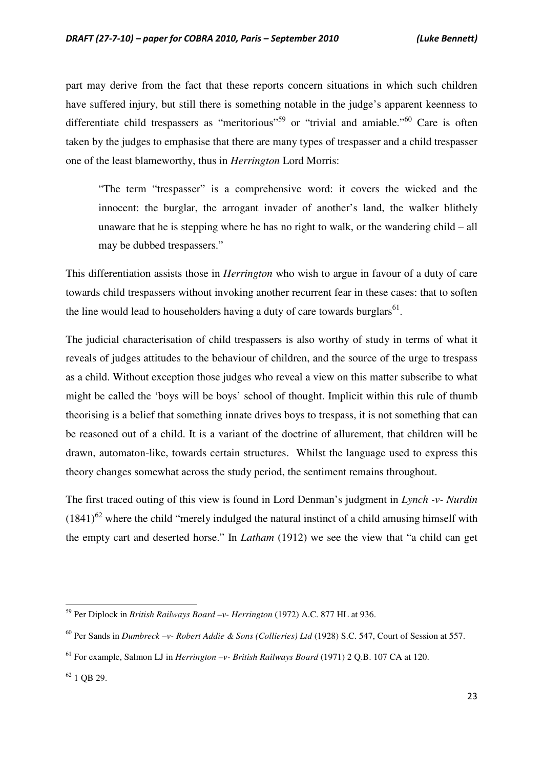part may derive from the fact that these reports concern situations in which such children have suffered injury, but still there is something notable in the judge's apparent keenness to differentiate child trespassers as "meritorious"<sup>59</sup> or "trivial and amiable."<sup>60</sup> Care is often taken by the judges to emphasise that there are many types of trespasser and a child trespasser one of the least blameworthy, thus in *Herrington* Lord Morris:

"The term "trespasser" is a comprehensive word: it covers the wicked and the innocent: the burglar, the arrogant invader of another's land, the walker blithely unaware that he is stepping where he has no right to walk, or the wandering child – all may be dubbed trespassers."

This differentiation assists those in *Herrington* who wish to argue in favour of a duty of care towards child trespassers without invoking another recurrent fear in these cases: that to soften the line would lead to householders having a duty of care towards burglars<sup>61</sup>.

The judicial characterisation of child trespassers is also worthy of study in terms of what it reveals of judges attitudes to the behaviour of children, and the source of the urge to trespass as a child. Without exception those judges who reveal a view on this matter subscribe to what might be called the 'boys will be boys' school of thought. Implicit within this rule of thumb theorising is a belief that something innate drives boys to trespass, it is not something that can be reasoned out of a child. It is a variant of the doctrine of allurement, that children will be drawn, automaton-like, towards certain structures. Whilst the language used to express this theory changes somewhat across the study period, the sentiment remains throughout.

The first traced outing of this view is found in Lord Denman's judgment in *Lynch -v- Nurdin*  $(1841)^{62}$  where the child "merely indulged the natural instinct of a child amusing himself with the empty cart and deserted horse." In *Latham* (1912) we see the view that "a child can get

<sup>59</sup> Per Diplock in *British Railways Board –v- Herrington* (1972) A.C. 877 HL at 936.

<sup>60</sup> Per Sands in *Dumbreck –v- Robert Addie & Sons (Collieries) Ltd* (1928) S.C. 547, Court of Session at 557.

<sup>61</sup> For example, Salmon LJ in *Herrington –v- British Railways Board* (1971) 2 Q.B. 107 CA at 120.

 $62$  1 OB 29.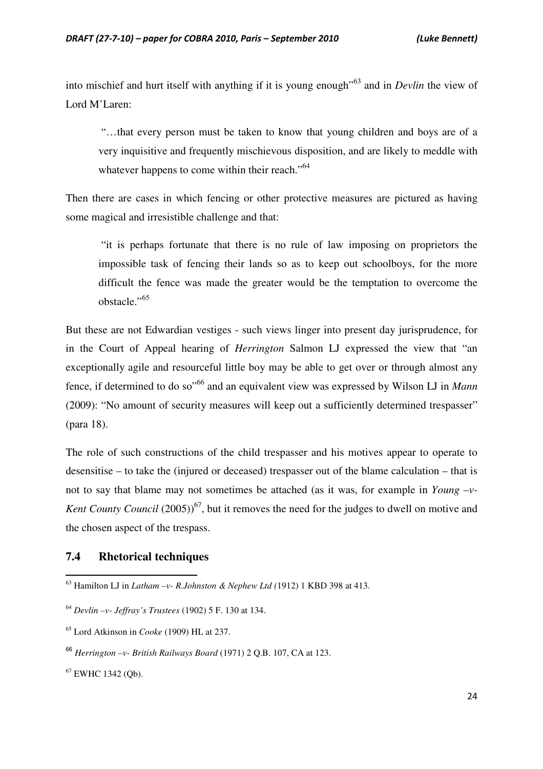into mischief and hurt itself with anything if it is young enough"<sup>63</sup> and in *Devlin* the view of Lord M'Laren:

 "…that every person must be taken to know that young children and boys are of a very inquisitive and frequently mischievous disposition, and are likely to meddle with whatever happens to come within their reach."<sup>64</sup>

Then there are cases in which fencing or other protective measures are pictured as having some magical and irresistible challenge and that:

 "it is perhaps fortunate that there is no rule of law imposing on proprietors the impossible task of fencing their lands so as to keep out schoolboys, for the more difficult the fence was made the greater would be the temptation to overcome the obstacle."<sup>65</sup>

But these are not Edwardian vestiges - such views linger into present day jurisprudence, for in the Court of Appeal hearing of *Herrington* Salmon LJ expressed the view that "an exceptionally agile and resourceful little boy may be able to get over or through almost any fence, if determined to do so"<sup>66</sup> and an equivalent view was expressed by Wilson LJ in *Mann*  (2009): "No amount of security measures will keep out a sufficiently determined trespasser" (para 18).

The role of such constructions of the child trespasser and his motives appear to operate to desensitise – to take the (injured or deceased) trespasser out of the blame calculation – that is not to say that blame may not sometimes be attached (as it was, for example in *Young –v-Kent County Council* (2005)<sup>67</sup>, but it removes the need for the judges to dwell on motive and the chosen aspect of the trespass.

#### **7.4 Rhetorical techniques**

<sup>63</sup> Hamilton LJ in *Latham –v- R.Johnston & Nephew Ltd (*1912) 1 KBD 398 at 413.

<sup>64</sup> *Devlin –v- Jeffray's Trustees* (1902) 5 F. 130 at 134.

<sup>65</sup> Lord Atkinson in *Cooke* (1909) HL at 237.

<sup>66</sup> *Herrington –v- British Railways Board* (1971) 2 Q.B. 107, CA at 123.

<sup>67</sup> EWHC 1342 (Qb).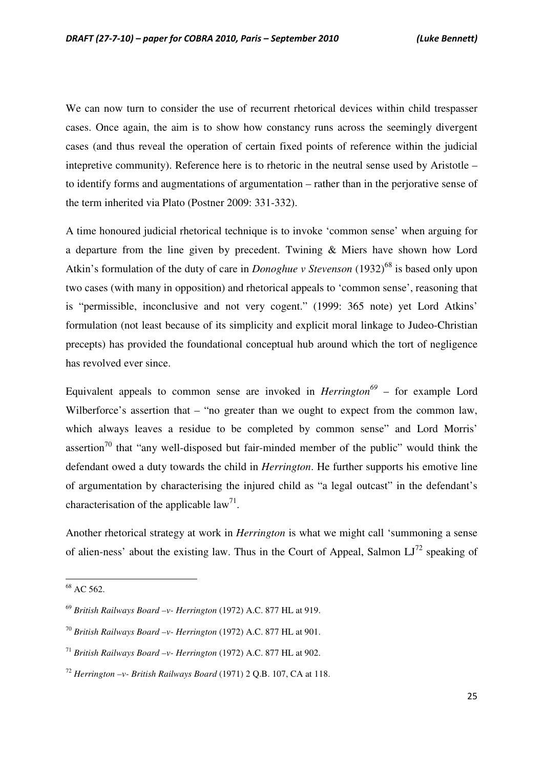We can now turn to consider the use of recurrent rhetorical devices within child trespasser cases. Once again, the aim is to show how constancy runs across the seemingly divergent cases (and thus reveal the operation of certain fixed points of reference within the judicial intepretive community). Reference here is to rhetoric in the neutral sense used by Aristotle – to identify forms and augmentations of argumentation – rather than in the perjorative sense of the term inherited via Plato (Postner 2009: 331-332).

A time honoured judicial rhetorical technique is to invoke 'common sense' when arguing for a departure from the line given by precedent. Twining & Miers have shown how Lord Atkin's formulation of the duty of care in *Donoghue v Stevenson* (1932)<sup>68</sup> is based only upon two cases (with many in opposition) and rhetorical appeals to 'common sense', reasoning that is "permissible, inconclusive and not very cogent." (1999: 365 note) yet Lord Atkins' formulation (not least because of its simplicity and explicit moral linkage to Judeo-Christian precepts) has provided the foundational conceptual hub around which the tort of negligence has revolved ever since.

Equivalent appeals to common sense are invoked in *Herrington<sup>69</sup>* – for example Lord Wilberforce's assertion that – "no greater than we ought to expect from the common law, which always leaves a residue to be completed by common sense" and Lord Morris' assertion<sup>70</sup> that "any well-disposed but fair-minded member of the public" would think the defendant owed a duty towards the child in *Herrington*. He further supports his emotive line of argumentation by characterising the injured child as "a legal outcast" in the defendant's characterisation of the applicable  $law^{71}$ .

Another rhetorical strategy at work in *Herrington* is what we might call 'summoning a sense of alien-ness' about the existing law. Thus in the Court of Appeal, Salmon  $LI^{72}$  speaking of

<sup>&</sup>lt;sup>68</sup> AC 562.

<sup>69</sup> *British Railways Board –v- Herrington* (1972) A.C. 877 HL at 919.

<sup>70</sup> *British Railways Board –v- Herrington* (1972) A.C. 877 HL at 901.

<sup>71</sup> *British Railways Board –v- Herrington* (1972) A.C. 877 HL at 902.

<sup>72</sup> *Herrington –v- British Railways Board* (1971) 2 Q.B. 107, CA at 118.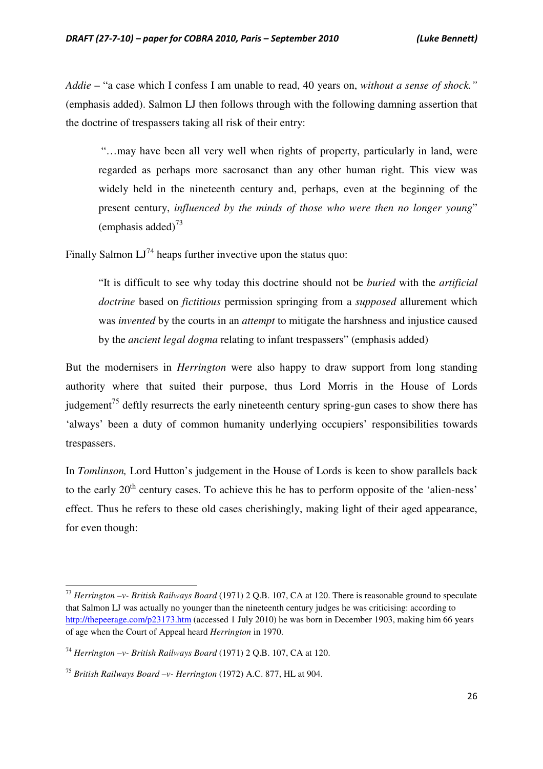*Addie* – "a case which I confess I am unable to read, 40 years on, *without a sense of shock."*  (emphasis added). Salmon LJ then follows through with the following damning assertion that the doctrine of trespassers taking all risk of their entry:

 "…may have been all very well when rights of property, particularly in land, were regarded as perhaps more sacrosanct than any other human right. This view was widely held in the nineteenth century and, perhaps, even at the beginning of the present century, *influenced by the minds of those who were then no longer young*" (emphasis added) $^{73}$ 

Finally Salmon  $LI^{74}$  heaps further invective upon the status quo:

"It is difficult to see why today this doctrine should not be *buried* with the *artificial doctrine* based on *fictitious* permission springing from a *supposed* allurement which was *invented* by the courts in an *attempt* to mitigate the harshness and injustice caused by the *ancient legal dogma* relating to infant trespassers" (emphasis added)

But the modernisers in *Herrington* were also happy to draw support from long standing authority where that suited their purpose, thus Lord Morris in the House of Lords judgement<sup>75</sup> deftly resurrects the early nineteenth century spring-gun cases to show there has 'always' been a duty of common humanity underlying occupiers' responsibilities towards trespassers.

In *Tomlinson,* Lord Hutton's judgement in the House of Lords is keen to show parallels back to the early 20<sup>th</sup> century cases. To achieve this he has to perform opposite of the 'alien-ness' effect. Thus he refers to these old cases cherishingly, making light of their aged appearance, for even though:

 $\overline{a}$ 

<sup>73</sup> *Herrington –v- British Railways Board* (1971) 2 Q.B. 107, CA at 120. There is reasonable ground to speculate that Salmon LJ was actually no younger than the nineteenth century judges he was criticising: according to http://thepeerage.com/p23173.htm (accessed 1 July 2010) he was born in December 1903, making him 66 years of age when the Court of Appeal heard *Herrington* in 1970.

<sup>74</sup> *Herrington –v- British Railways Board* (1971) 2 Q.B. 107, CA at 120.

<sup>75</sup> *British Railways Board –v- Herrington* (1972) A.C. 877, HL at 904.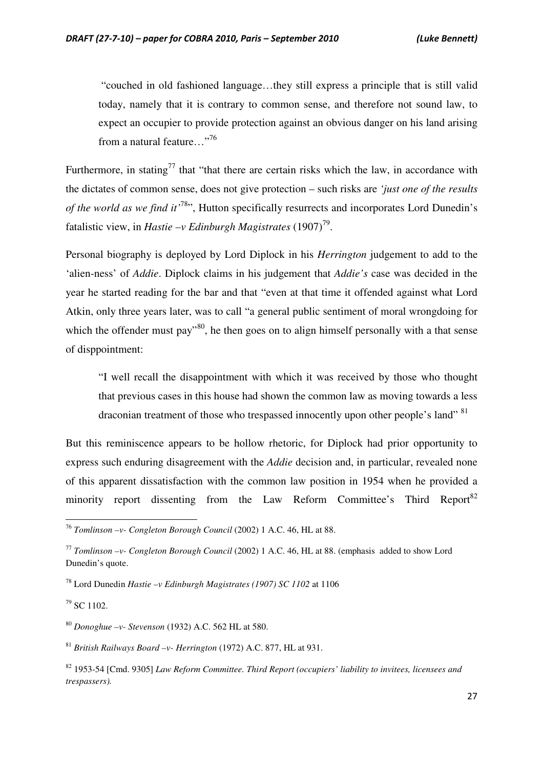"couched in old fashioned language…they still express a principle that is still valid today, namely that it is contrary to common sense, and therefore not sound law, to expect an occupier to provide protection against an obvious danger on his land arising from a natural feature..."<sup>76</sup>

Furthermore, in stating<sup>77</sup> that "that there are certain risks which the law, in accordance with the dictates of common sense, does not give protection – such risks are *'just one of the results of the world as we find it'*<sup>78</sup>", Hutton specifically resurrects and incorporates Lord Dunedin's fatalistic view, in *Hastie –v Edinburgh Magistrates* (1907)<sup>79</sup>.

Personal biography is deployed by Lord Diplock in his *Herrington* judgement to add to the 'alien-ness' of *Addie*. Diplock claims in his judgement that *Addie's* case was decided in the year he started reading for the bar and that "even at that time it offended against what Lord Atkin, only three years later, was to call "a general public sentiment of moral wrongdoing for which the offender must pay<sup>"80</sup>, he then goes on to align himself personally with a that sense of disppointment:

"I well recall the disappointment with which it was received by those who thought that previous cases in this house had shown the common law as moving towards a less draconian treatment of those who trespassed innocently upon other people's land" <sup>81</sup>

But this reminiscence appears to be hollow rhetoric, for Diplock had prior opportunity to express such enduring disagreement with the *Addie* decision and, in particular, revealed none of this apparent dissatisfaction with the common law position in 1954 when he provided a minority report dissenting from the Law Reform Committee's Third Report<sup>82</sup>

<sup>79</sup> SC 1102.

 $\overline{a}$ 

<sup>80</sup> *Donoghue –v- Stevenson* (1932) A.C. 562 HL at 580.

<sup>81</sup> *British Railways Board –v- Herrington* (1972) A.C. 877, HL at 931.

<sup>76</sup> *Tomlinson –v- Congleton Borough Council* (2002) 1 A.C. 46, HL at 88.

<sup>77</sup> *Tomlinson –v- Congleton Borough Council* (2002) 1 A.C. 46, HL at 88. (emphasis added to show Lord Dunedin's quote.

<sup>78</sup> Lord Dunedin *Hastie –v Edinburgh Magistrates (1907) SC 1102* at 1106

<sup>82</sup> 1953-54 [Cmd. 9305] *Law Reform Committee. Third Report (occupiers' liability to invitees, licensees and trespassers).*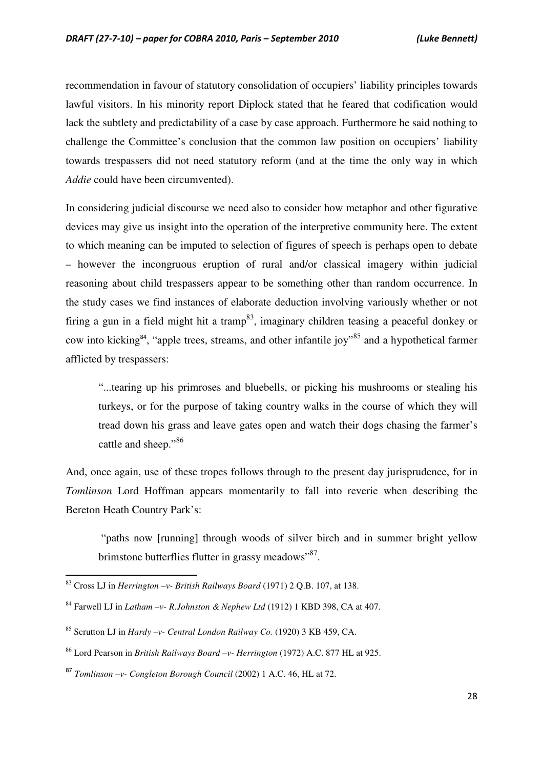recommendation in favour of statutory consolidation of occupiers' liability principles towards lawful visitors. In his minority report Diplock stated that he feared that codification would lack the subtlety and predictability of a case by case approach. Furthermore he said nothing to challenge the Committee's conclusion that the common law position on occupiers' liability towards trespassers did not need statutory reform (and at the time the only way in which *Addie* could have been circumvented).

In considering judicial discourse we need also to consider how metaphor and other figurative devices may give us insight into the operation of the interpretive community here. The extent to which meaning can be imputed to selection of figures of speech is perhaps open to debate – however the incongruous eruption of rural and/or classical imagery within judicial reasoning about child trespassers appear to be something other than random occurrence. In the study cases we find instances of elaborate deduction involving variously whether or not firing a gun in a field might hit a tramp<sup>83</sup>, imaginary children teasing a peaceful donkey or cow into kicking<sup>84</sup>, "apple trees, streams, and other infantile joy"<sup>85</sup> and a hypothetical farmer afflicted by trespassers:

"...tearing up his primroses and bluebells, or picking his mushrooms or stealing his turkeys, or for the purpose of taking country walks in the course of which they will tread down his grass and leave gates open and watch their dogs chasing the farmer's cattle and sheep."86

And, once again, use of these tropes follows through to the present day jurisprudence, for in *Tomlinson* Lord Hoffman appears momentarily to fall into reverie when describing the Bereton Heath Country Park's:

 "paths now [running] through woods of silver birch and in summer bright yellow brimstone butterflies flutter in grassy meadows"<sup>87</sup>.

<sup>83</sup> Cross LJ in *Herrington –v- British Railways Board* (1971) 2 Q.B. 107, at 138.

<sup>84</sup> Farwell LJ in *Latham –v- R.Johnston & Nephew Ltd* (1912) 1 KBD 398, CA at 407.

<sup>85</sup> Scrutton LJ in *Hardy –v- Central London Railway Co.* (1920) 3 KB 459, CA.

<sup>86</sup> Lord Pearson in *British Railways Board –v- Herrington* (1972) A.C. 877 HL at 925.

<sup>87</sup> *Tomlinson –v- Congleton Borough Council* (2002) 1 A.C. 46, HL at 72.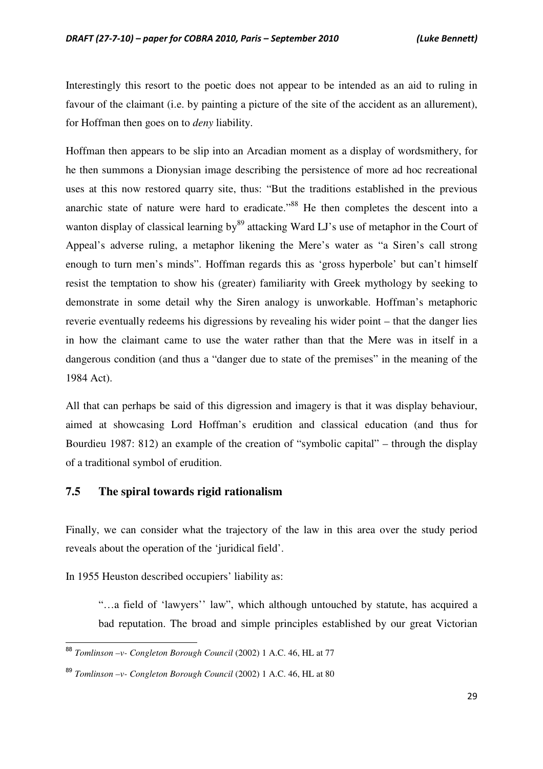Interestingly this resort to the poetic does not appear to be intended as an aid to ruling in favour of the claimant (i.e. by painting a picture of the site of the accident as an allurement), for Hoffman then goes on to *deny* liability.

Hoffman then appears to be slip into an Arcadian moment as a display of wordsmithery, for he then summons a Dionysian image describing the persistence of more ad hoc recreational uses at this now restored quarry site, thus: "But the traditions established in the previous anarchic state of nature were hard to eradicate."<sup>88</sup> He then completes the descent into a wanton display of classical learning by<sup>89</sup> attacking Ward LJ's use of metaphor in the Court of Appeal's adverse ruling, a metaphor likening the Mere's water as "a Siren's call strong enough to turn men's minds". Hoffman regards this as 'gross hyperbole' but can't himself resist the temptation to show his (greater) familiarity with Greek mythology by seeking to demonstrate in some detail why the Siren analogy is unworkable. Hoffman's metaphoric reverie eventually redeems his digressions by revealing his wider point – that the danger lies in how the claimant came to use the water rather than that the Mere was in itself in a dangerous condition (and thus a "danger due to state of the premises" in the meaning of the 1984 Act).

All that can perhaps be said of this digression and imagery is that it was display behaviour, aimed at showcasing Lord Hoffman's erudition and classical education (and thus for Bourdieu 1987: 812) an example of the creation of "symbolic capital" – through the display of a traditional symbol of erudition.

#### **7.5 The spiral towards rigid rationalism**

Finally, we can consider what the trajectory of the law in this area over the study period reveals about the operation of the 'juridical field'.

In 1955 Heuston described occupiers' liability as:

l

"…a field of 'lawyers'' law", which although untouched by statute, has acquired a bad reputation. The broad and simple principles established by our great Victorian

<sup>88</sup> *Tomlinson –v- Congleton Borough Council* (2002) 1 A.C. 46, HL at 77

<sup>89</sup> *Tomlinson –v- Congleton Borough Council* (2002) 1 A.C. 46, HL at 80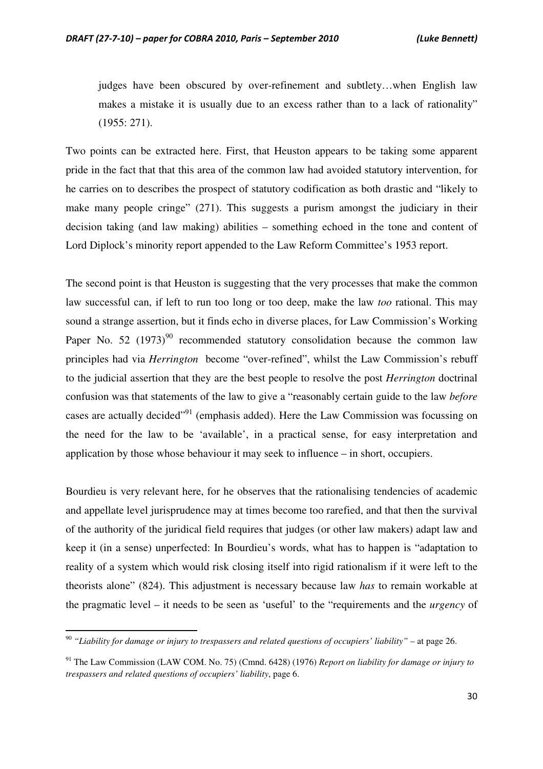judges have been obscured by over-refinement and subtlety…when English law makes a mistake it is usually due to an excess rather than to a lack of rationality" (1955: 271).

Two points can be extracted here. First, that Heuston appears to be taking some apparent pride in the fact that that this area of the common law had avoided statutory intervention, for he carries on to describes the prospect of statutory codification as both drastic and "likely to make many people cringe" (271). This suggests a purism amongst the judiciary in their decision taking (and law making) abilities – something echoed in the tone and content of Lord Diplock's minority report appended to the Law Reform Committee's 1953 report.

The second point is that Heuston is suggesting that the very processes that make the common law successful can, if left to run too long or too deep, make the law *too* rational. This may sound a strange assertion, but it finds echo in diverse places, for Law Commission's Working Paper No. 52 (1973)<sup>90</sup> recommended statutory consolidation because the common law principles had via *Herrington* become "over-refined", whilst the Law Commission's rebuff to the judicial assertion that they are the best people to resolve the post *Herrington* doctrinal confusion was that statements of the law to give a "reasonably certain guide to the law *before* cases are actually decided"<sup>91</sup> (emphasis added). Here the Law Commission was focussing on the need for the law to be 'available', in a practical sense, for easy interpretation and application by those whose behaviour it may seek to influence – in short, occupiers.

Bourdieu is very relevant here, for he observes that the rationalising tendencies of academic and appellate level jurisprudence may at times become too rarefied, and that then the survival of the authority of the juridical field requires that judges (or other law makers) adapt law and keep it (in a sense) unperfected: In Bourdieu's words, what has to happen is "adaptation to reality of a system which would risk closing itself into rigid rationalism if it were left to the theorists alone" (824). This adjustment is necessary because law *has* to remain workable at the pragmatic level – it needs to be seen as 'useful' to the "requirements and the *urgency* of

<sup>90</sup> *"Liability for damage or injury to trespassers and related questions of occupiers' liability"* – at page 26.

<sup>91</sup> The Law Commission (LAW COM. No. 75) (Cmnd. 6428) (1976) *Report on liability for damage or injury to trespassers and related questions of occupiers' liability*, page 6.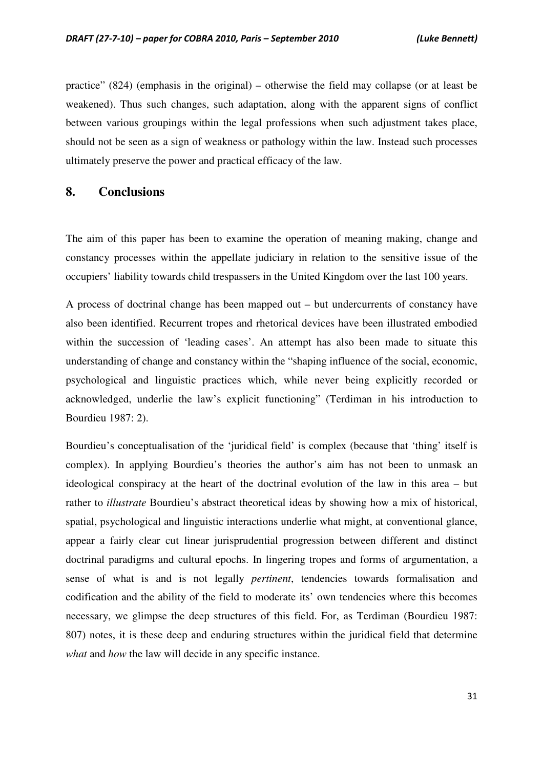practice" (824) (emphasis in the original) – otherwise the field may collapse (or at least be weakened). Thus such changes, such adaptation, along with the apparent signs of conflict between various groupings within the legal professions when such adjustment takes place, should not be seen as a sign of weakness or pathology within the law. Instead such processes ultimately preserve the power and practical efficacy of the law.

### **8. Conclusions**

The aim of this paper has been to examine the operation of meaning making, change and constancy processes within the appellate judiciary in relation to the sensitive issue of the occupiers' liability towards child trespassers in the United Kingdom over the last 100 years.

A process of doctrinal change has been mapped out – but undercurrents of constancy have also been identified. Recurrent tropes and rhetorical devices have been illustrated embodied within the succession of 'leading cases'. An attempt has also been made to situate this understanding of change and constancy within the "shaping influence of the social, economic, psychological and linguistic practices which, while never being explicitly recorded or acknowledged, underlie the law's explicit functioning" (Terdiman in his introduction to Bourdieu 1987: 2).

Bourdieu's conceptualisation of the 'juridical field' is complex (because that 'thing' itself is complex). In applying Bourdieu's theories the author's aim has not been to unmask an ideological conspiracy at the heart of the doctrinal evolution of the law in this area – but rather to *illustrate* Bourdieu's abstract theoretical ideas by showing how a mix of historical, spatial, psychological and linguistic interactions underlie what might, at conventional glance, appear a fairly clear cut linear jurisprudential progression between different and distinct doctrinal paradigms and cultural epochs. In lingering tropes and forms of argumentation, a sense of what is and is not legally *pertinent*, tendencies towards formalisation and codification and the ability of the field to moderate its' own tendencies where this becomes necessary, we glimpse the deep structures of this field. For, as Terdiman (Bourdieu 1987: 807) notes, it is these deep and enduring structures within the juridical field that determine *what* and *how* the law will decide in any specific instance.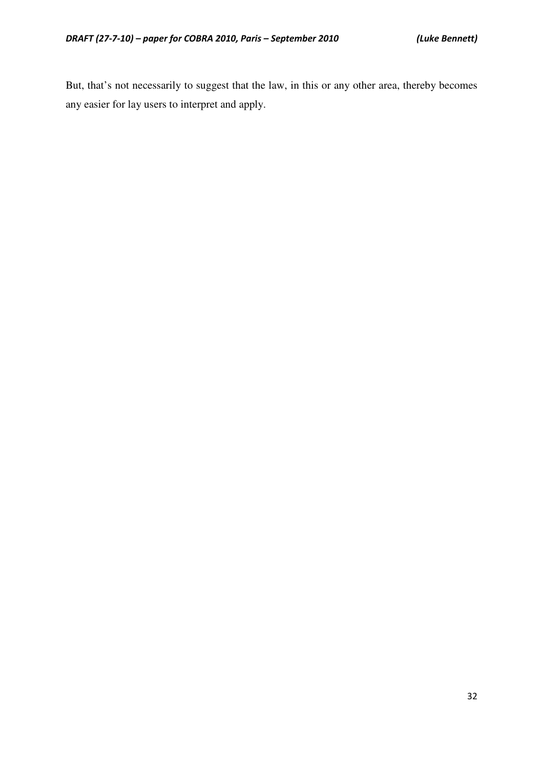But, that's not necessarily to suggest that the law, in this or any other area, thereby becomes any easier for lay users to interpret and apply.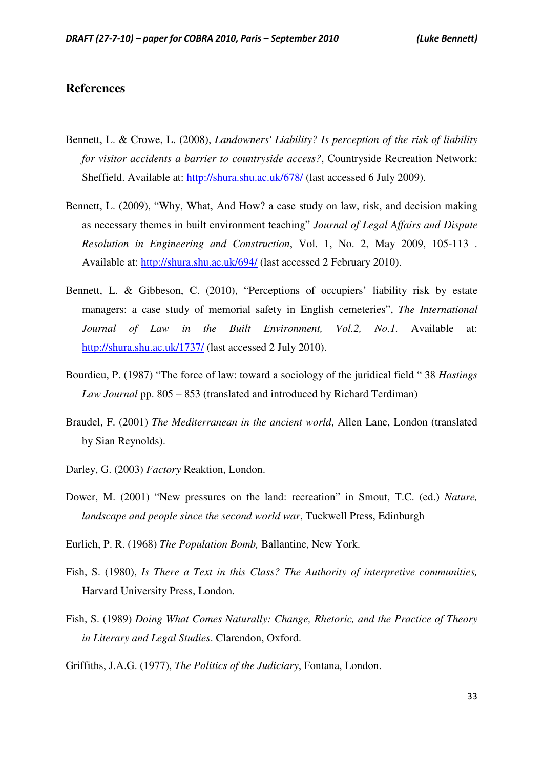### **References**

- Bennett, L. & Crowe, L. (2008), *Landowners' Liability? Is perception of the risk of liability for visitor accidents a barrier to countryside access?*, Countryside Recreation Network: Sheffield. Available at: http://shura.shu.ac.uk/678/ (last accessed 6 July 2009).
- Bennett, L. (2009), "Why, What, And How? a case study on law, risk, and decision making as necessary themes in built environment teaching" *Journal of Legal Affairs and Dispute Resolution in Engineering and Construction*, Vol. 1, No. 2, May 2009, 105-113 . Available at: http://shura.shu.ac.uk/694/ (last accessed 2 February 2010).
- Bennett, L. & Gibbeson, C. (2010), "Perceptions of occupiers' liability risk by estate managers: a case study of memorial safety in English cemeteries", *The International Journal of Law in the Built Environment, Vol.2, No.1.* Available at: http://shura.shu.ac.uk/1737/ (last accessed 2 July 2010).
- Bourdieu, P. (1987) "The force of law: toward a sociology of the juridical field " 38 *Hastings Law Journal* pp. 805 – 853 (translated and introduced by Richard Terdiman)
- Braudel, F. (2001) *The Mediterranean in the ancient world*, Allen Lane, London (translated by Sian Reynolds).
- Darley, G. (2003) *Factory* Reaktion, London.
- Dower, M. (2001) "New pressures on the land: recreation" in Smout, T.C. (ed.) *Nature, landscape and people since the second world war*, Tuckwell Press, Edinburgh
- Eurlich, P. R. (1968) *The Population Bomb,* Ballantine, New York.
- Fish, S. (1980), *Is There a Text in this Class? The Authority of interpretive communities,*  Harvard University Press, London.
- Fish, S. (1989) *Doing What Comes Naturally: Change, Rhetoric, and the Practice of Theory in Literary and Legal Studies*. Clarendon, Oxford.

Griffiths, J.A.G. (1977), *The Politics of the Judiciary*, Fontana, London.